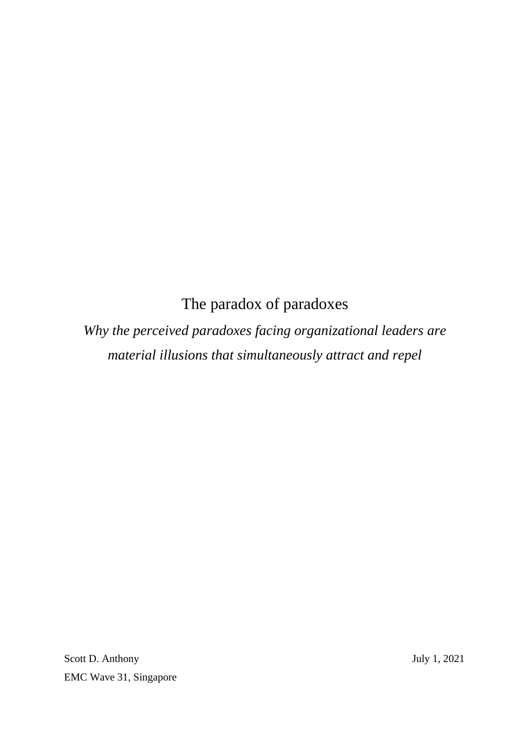# The paradox of paradoxes

*Why the perceived paradoxes facing organizational leaders are material illusions that simultaneously attract and repel*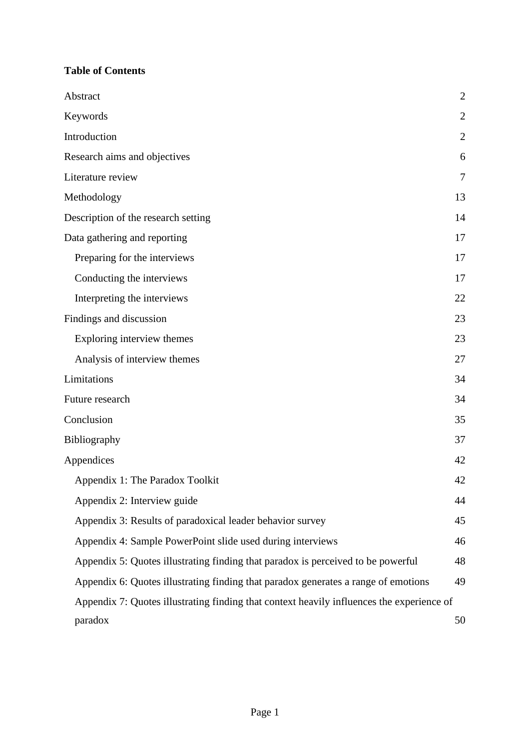## **Table of Contents**

| Abstract                                                                                  | $\mathbf{2}$   |
|-------------------------------------------------------------------------------------------|----------------|
| Keywords                                                                                  | $\overline{2}$ |
| Introduction                                                                              | $\overline{2}$ |
| Research aims and objectives                                                              | 6              |
| Literature review                                                                         | 7              |
| Methodology                                                                               | 13             |
| Description of the research setting                                                       | 14             |
| Data gathering and reporting                                                              | 17             |
| Preparing for the interviews                                                              | 17             |
| Conducting the interviews                                                                 | 17             |
| Interpreting the interviews                                                               | 22             |
| Findings and discussion                                                                   | 23             |
| Exploring interview themes                                                                | 23             |
| Analysis of interview themes                                                              | 27             |
| Limitations                                                                               | 34             |
| Future research                                                                           | 34             |
| Conclusion                                                                                | 35             |
| Bibliography                                                                              | 37             |
| Appendices                                                                                | 42             |
| Appendix 1: The Paradox Toolkit                                                           | 42             |
| Appendix 2: Interview guide                                                               | 44             |
| Appendix 3: Results of paradoxical leader behavior survey                                 | 45             |
| Appendix 4: Sample PowerPoint slide used during interviews                                | 46             |
| Appendix 5: Quotes illustrating finding that paradox is perceived to be powerful          | 48             |
| Appendix 6: Quotes illustrating finding that paradox generates a range of emotions        | 49             |
| Appendix 7: Quotes illustrating finding that context heavily influences the experience of |                |
| paradox                                                                                   | 50             |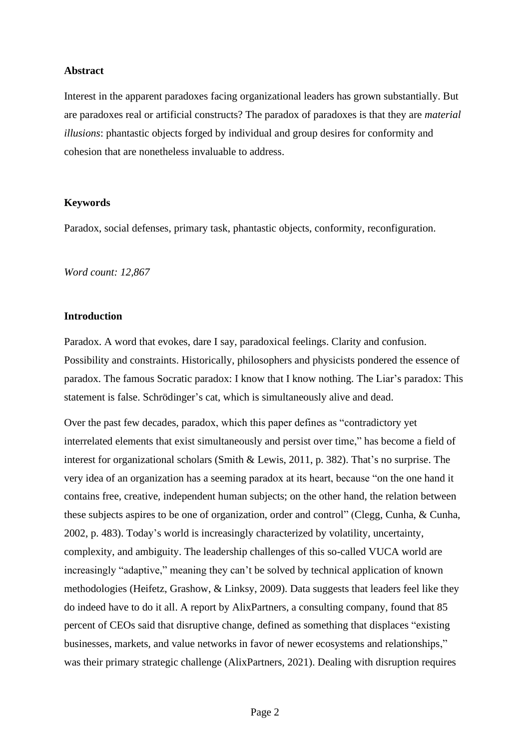#### **Abstract**

Interest in the apparent paradoxes facing organizational leaders has grown substantially. But are paradoxes real or artificial constructs? The paradox of paradoxes is that they are *material illusions*: phantastic objects forged by individual and group desires for conformity and cohesion that are nonetheless invaluable to address.

#### **Keywords**

Paradox, social defenses, primary task, phantastic objects, conformity, reconfiguration.

*Word count: 12,867* 

#### **Introduction**

Paradox. A word that evokes, dare I say, paradoxical feelings. Clarity and confusion. Possibility and constraints. Historically, philosophers and physicists pondered the essence of paradox. The famous Socratic paradox: I know that I know nothing. The Liar's paradox: This statement is false. Schrödinger's cat, which is simultaneously alive and dead.

Over the past few decades, paradox, which this paper defines as "contradictory yet interrelated elements that exist simultaneously and persist over time," has become a field of interest for organizational scholars (Smith & Lewis, 2011, p. 382). That's no surprise. The very idea of an organization has a seeming paradox at its heart, because "on the one hand it contains free, creative, independent human subjects; on the other hand, the relation between these subjects aspires to be one of organization, order and control" (Clegg, Cunha, & Cunha, 2002, p. 483). Today's world is increasingly characterized by volatility, uncertainty, complexity, and ambiguity. The leadership challenges of this so-called VUCA world are increasingly "adaptive," meaning they can't be solved by technical application of known methodologies (Heifetz, Grashow, & Linksy, 2009). Data suggests that leaders feel like they do indeed have to do it all. A report by AlixPartners, a consulting company, found that 85 percent of CEOs said that disruptive change, defined as something that displaces "existing businesses, markets, and value networks in favor of newer ecosystems and relationships," was their primary strategic challenge (AlixPartners, 2021). Dealing with disruption requires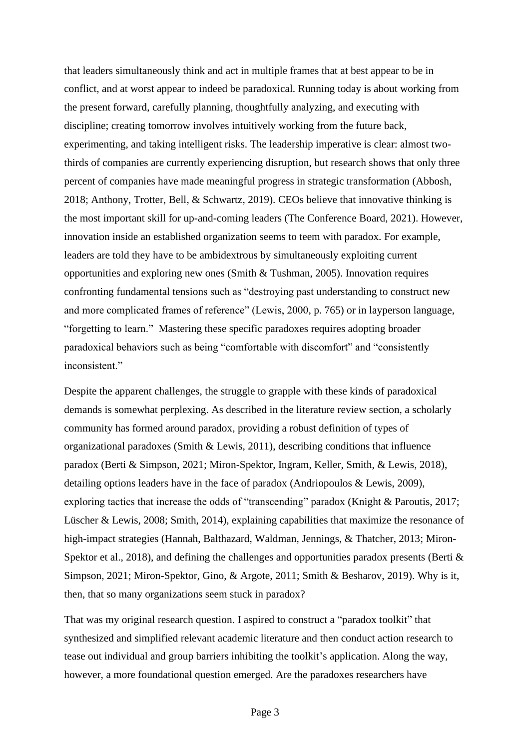that leaders simultaneously think and act in multiple frames that at best appear to be in conflict, and at worst appear to indeed be paradoxical. Running today is about working from the present forward, carefully planning, thoughtfully analyzing, and executing with discipline; creating tomorrow involves intuitively working from the future back, experimenting, and taking intelligent risks. The leadership imperative is clear: almost twothirds of companies are currently experiencing disruption, but research shows that only three percent of companies have made meaningful progress in strategic transformation (Abbosh, 2018; Anthony, Trotter, Bell, & Schwartz, 2019). CEOs believe that innovative thinking is the most important skill for up-and-coming leaders (The Conference Board, 2021). However, innovation inside an established organization seems to teem with paradox. For example, leaders are told they have to be ambidextrous by simultaneously exploiting current opportunities and exploring new ones (Smith & Tushman, 2005). Innovation requires confronting fundamental tensions such as "destroying past understanding to construct new and more complicated frames of reference" (Lewis, 2000, p. 765) or in layperson language, "forgetting to learn." Mastering these specific paradoxes requires adopting broader paradoxical behaviors such as being "comfortable with discomfort" and "consistently inconsistent."

Despite the apparent challenges, the struggle to grapple with these kinds of paradoxical demands is somewhat perplexing. As described in the literature review section, a scholarly community has formed around paradox, providing a robust definition of types of organizational paradoxes (Smith & Lewis, 2011), describing conditions that influence paradox (Berti & Simpson, 2021; Miron-Spektor, Ingram, Keller, Smith, & Lewis, 2018), detailing options leaders have in the face of paradox (Andriopoulos & Lewis, 2009), exploring tactics that increase the odds of "transcending" paradox (Knight & Paroutis, 2017; Lüscher & Lewis, 2008; Smith, 2014), explaining capabilities that maximize the resonance of high-impact strategies (Hannah, Balthazard, Waldman, Jennings, & Thatcher, 2013; Miron-Spektor et al., 2018), and defining the challenges and opportunities paradox presents (Berti  $\&$ Simpson, 2021; Miron-Spektor, Gino, & Argote, 2011; Smith & Besharov, 2019). Why is it, then, that so many organizations seem stuck in paradox?

That was my original research question. I aspired to construct a "paradox toolkit" that synthesized and simplified relevant academic literature and then conduct action research to tease out individual and group barriers inhibiting the toolkit's application. Along the way, however, a more foundational question emerged. Are the paradoxes researchers have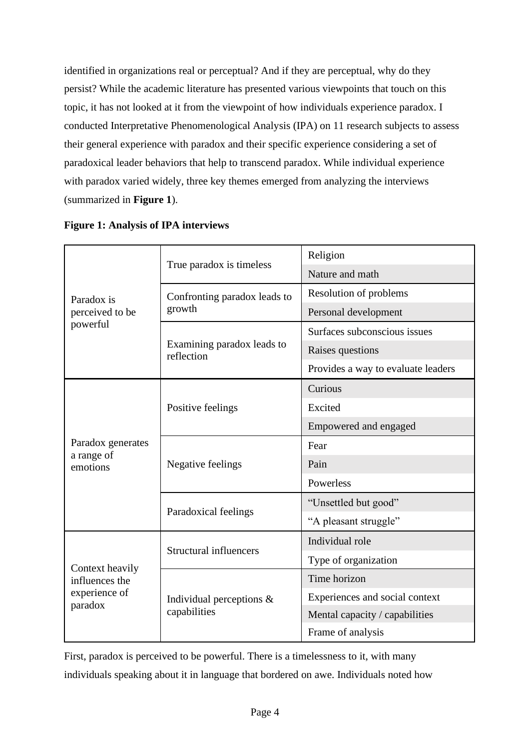identified in organizations real or perceptual? And if they are perceptual, why do they persist? While the academic literature has presented various viewpoints that touch on this topic, it has not looked at it from the viewpoint of how individuals experience paradox. I conducted Interpretative Phenomenological Analysis (IPA) on 11 research subjects to assess their general experience with paradox and their specific experience considering a set of paradoxical leader behaviors that help to transcend paradox. While individual experience with paradox varied widely, three key themes emerged from analyzing the interviews (summarized in **Figure 1**).

|                          |                                             | Religion                           |  |
|--------------------------|---------------------------------------------|------------------------------------|--|
| Paradox is               | True paradox is timeless                    | Nature and math                    |  |
|                          | Confronting paradox leads to                | Resolution of problems             |  |
| perceived to be          | growth                                      | Personal development               |  |
| powerful                 |                                             | Surfaces subconscious issues       |  |
|                          | Examining paradox leads to<br>reflection    | Raises questions                   |  |
|                          |                                             | Provides a way to evaluate leaders |  |
|                          |                                             | Curious                            |  |
|                          | Positive feelings                           | Excited                            |  |
|                          |                                             | Empowered and engaged              |  |
| Paradox generates        | Negative feelings                           | Fear                               |  |
| a range of<br>emotions   |                                             | Pain                               |  |
|                          |                                             | Powerless                          |  |
|                          |                                             | "Unsettled but good"               |  |
|                          | Paradoxical feelings                        | "A pleasant struggle"              |  |
|                          | <b>Structural influencers</b>               | Individual role                    |  |
| Context heavily          |                                             | Type of organization               |  |
| influences the           | Individual perceptions $\&$<br>capabilities | Time horizon                       |  |
| experience of<br>paradox |                                             | Experiences and social context     |  |
|                          |                                             | Mental capacity / capabilities     |  |
|                          |                                             | Frame of analysis                  |  |

First, paradox is perceived to be powerful. There is a timelessness to it, with many individuals speaking about it in language that bordered on awe. Individuals noted how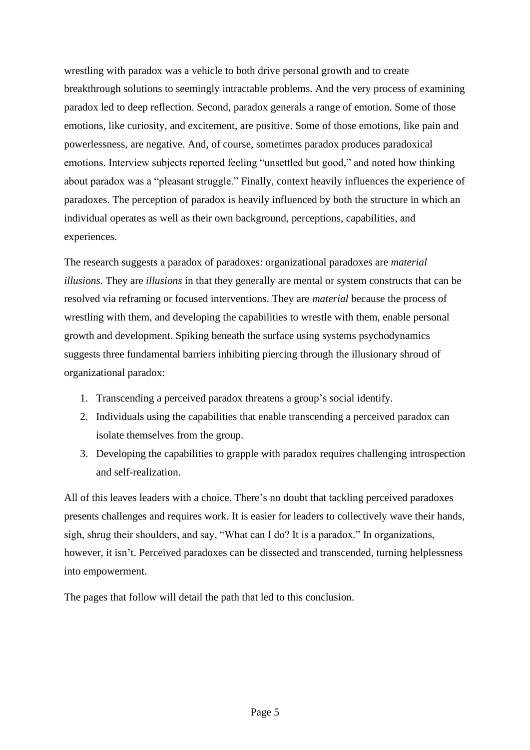wrestling with paradox was a vehicle to both drive personal growth and to create breakthrough solutions to seemingly intractable problems. And the very process of examining paradox led to deep reflection. Second, paradox generals a range of emotion. Some of those emotions, like curiosity, and excitement, are positive. Some of those emotions, like pain and powerlessness, are negative. And, of course, sometimes paradox produces paradoxical emotions. Interview subjects reported feeling "unsettled but good," and noted how thinking about paradox was a "pleasant struggle." Finally, context heavily influences the experience of paradoxes. The perception of paradox is heavily influenced by both the structure in which an individual operates as well as their own background, perceptions, capabilities, and experiences.

The research suggests a paradox of paradoxes: organizational paradoxes are *material illusions*. They are *illusions* in that they generally are mental or system constructs that can be resolved via reframing or focused interventions. They are *material* because the process of wrestling with them, and developing the capabilities to wrestle with them, enable personal growth and development. Spiking beneath the surface using systems psychodynamics suggests three fundamental barriers inhibiting piercing through the illusionary shroud of organizational paradox:

- 1. Transcending a perceived paradox threatens a group's social identify.
- 2. Individuals using the capabilities that enable transcending a perceived paradox can isolate themselves from the group.
- 3. Developing the capabilities to grapple with paradox requires challenging introspection and self-realization.

All of this leaves leaders with a choice. There's no doubt that tackling perceived paradoxes presents challenges and requires work. It is easier for leaders to collectively wave their hands, sigh, shrug their shoulders, and say, "What can I do? It is a paradox." In organizations, however, it isn't. Perceived paradoxes can be dissected and transcended, turning helplessness into empowerment.

The pages that follow will detail the path that led to this conclusion.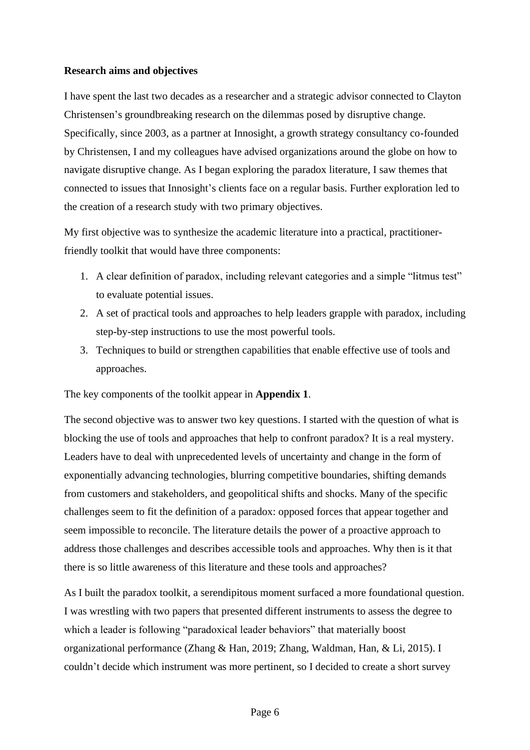### **Research aims and objectives**

I have spent the last two decades as a researcher and a strategic advisor connected to Clayton Christensen's groundbreaking research on the dilemmas posed by disruptive change. Specifically, since 2003, as a partner at Innosight, a growth strategy consultancy co-founded by Christensen, I and my colleagues have advised organizations around the globe on how to navigate disruptive change. As I began exploring the paradox literature, I saw themes that connected to issues that Innosight's clients face on a regular basis. Further exploration led to the creation of a research study with two primary objectives.

My first objective was to synthesize the academic literature into a practical, practitionerfriendly toolkit that would have three components:

- 1. A clear definition of paradox, including relevant categories and a simple "litmus test" to evaluate potential issues.
- 2. A set of practical tools and approaches to help leaders grapple with paradox, including step-by-step instructions to use the most powerful tools.
- 3. Techniques to build or strengthen capabilities that enable effective use of tools and approaches.

## The key components of the toolkit appear in **Appendix 1**.

The second objective was to answer two key questions. I started with the question of what is blocking the use of tools and approaches that help to confront paradox? It is a real mystery. Leaders have to deal with unprecedented levels of uncertainty and change in the form of exponentially advancing technologies, blurring competitive boundaries, shifting demands from customers and stakeholders, and geopolitical shifts and shocks. Many of the specific challenges seem to fit the definition of a paradox: opposed forces that appear together and seem impossible to reconcile. The literature details the power of a proactive approach to address those challenges and describes accessible tools and approaches. Why then is it that there is so little awareness of this literature and these tools and approaches?

As I built the paradox toolkit, a serendipitous moment surfaced a more foundational question. I was wrestling with two papers that presented different instruments to assess the degree to which a leader is following "paradoxical leader behaviors" that materially boost organizational performance (Zhang & Han, 2019; Zhang, Waldman, Han, & Li, 2015). I couldn't decide which instrument was more pertinent, so I decided to create a short survey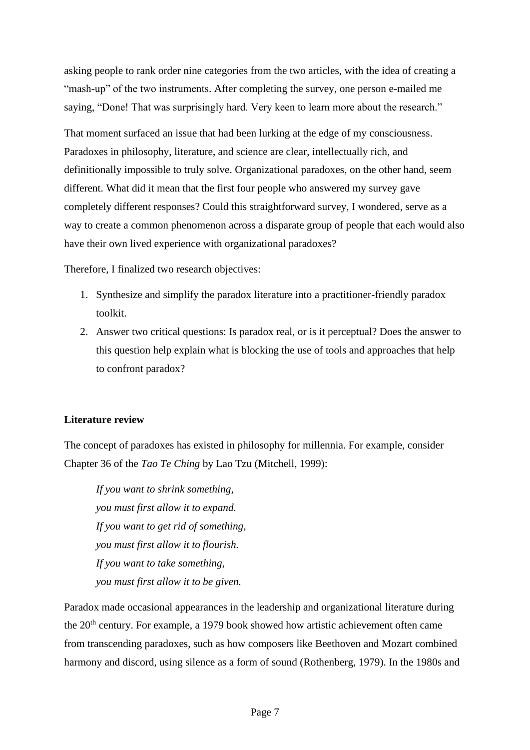asking people to rank order nine categories from the two articles, with the idea of creating a "mash-up" of the two instruments. After completing the survey, one person e-mailed me saying, "Done! That was surprisingly hard. Very keen to learn more about the research."

That moment surfaced an issue that had been lurking at the edge of my consciousness. Paradoxes in philosophy, literature, and science are clear, intellectually rich, and definitionally impossible to truly solve. Organizational paradoxes, on the other hand, seem different. What did it mean that the first four people who answered my survey gave completely different responses? Could this straightforward survey, I wondered, serve as a way to create a common phenomenon across a disparate group of people that each would also have their own lived experience with organizational paradoxes?

Therefore, I finalized two research objectives:

- 1. Synthesize and simplify the paradox literature into a practitioner-friendly paradox toolkit.
- 2. Answer two critical questions: Is paradox real, or is it perceptual? Does the answer to this question help explain what is blocking the use of tools and approaches that help to confront paradox?

## **Literature review**

The concept of paradoxes has existed in philosophy for millennia. For example, consider Chapter 36 of the *Tao Te Ching* by Lao Tzu (Mitchell, 1999):

*If you want to shrink something, you must first allow it to expand. If you want to get rid of something, you must first allow it to flourish. If you want to take something, you must first allow it to be given.*

Paradox made occasional appearances in the leadership and organizational literature during the 20<sup>th</sup> century. For example, a 1979 book showed how artistic achievement often came from transcending paradoxes, such as how composers like Beethoven and Mozart combined harmony and discord, using silence as a form of sound (Rothenberg, 1979). In the 1980s and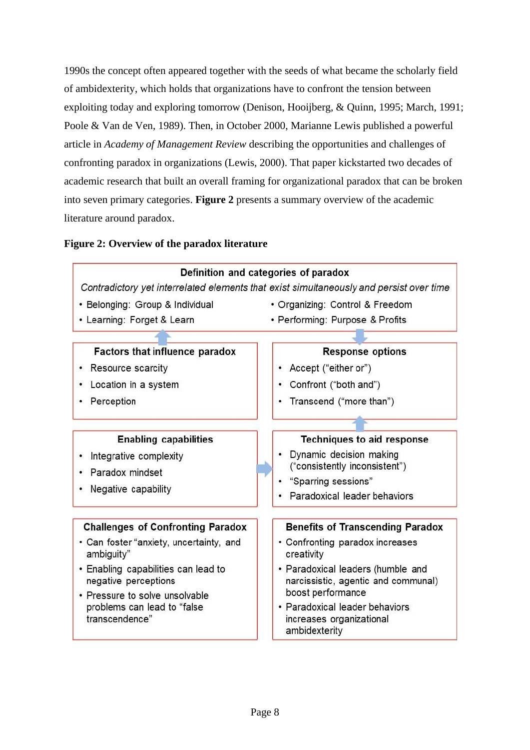1990s the concept often appeared together with the seeds of what became the scholarly field of ambidexterity, which holds that organizations have to confront the tension between exploiting today and exploring tomorrow (Denison, Hooijberg, & Quinn, 1995; March, 1991; Poole & Van de Ven, 1989). Then, in October 2000, Marianne Lewis published a powerful article in *Academy of Management Review* describing the opportunities and challenges of confronting paradox in organizations (Lewis, 2000). That paper kickstarted two decades of academic research that built an overall framing for organizational paradox that can be broken into seven primary categories. **Figure 2** presents a summary overview of the academic literature around paradox.

## **Figure 2: Overview of the paradox literature**

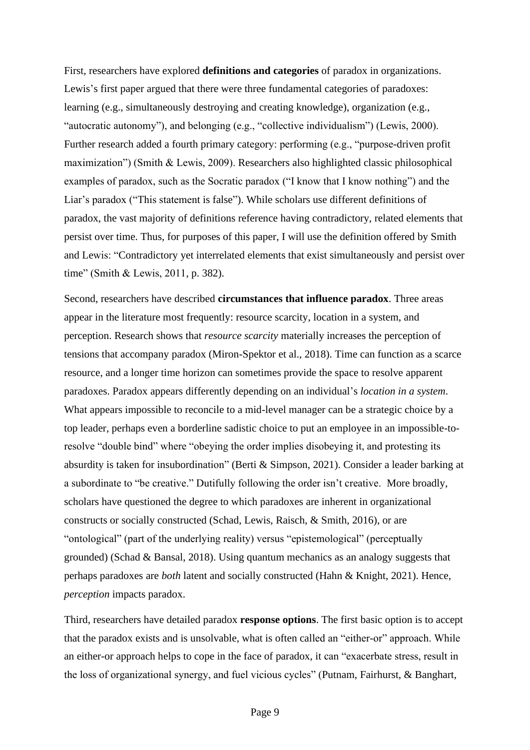First, researchers have explored **definitions and categories** of paradox in organizations. Lewis's first paper argued that there were three fundamental categories of paradoxes: learning (e.g., simultaneously destroying and creating knowledge), organization (e.g., "autocratic autonomy"), and belonging (e.g., "collective individualism") (Lewis, 2000). Further research added a fourth primary category: performing (e.g., "purpose-driven profit maximization") (Smith & Lewis, 2009). Researchers also highlighted classic philosophical examples of paradox, such as the Socratic paradox ("I know that I know nothing") and the Liar's paradox ("This statement is false"). While scholars use different definitions of paradox, the vast majority of definitions reference having contradictory, related elements that persist over time. Thus, for purposes of this paper, I will use the definition offered by Smith and Lewis: "Contradictory yet interrelated elements that exist simultaneously and persist over time" (Smith & Lewis, 2011, p. 382).

Second, researchers have described **circumstances that influence paradox**. Three areas appear in the literature most frequently: resource scarcity, location in a system, and perception. Research shows that *resource scarcity* materially increases the perception of tensions that accompany paradox (Miron-Spektor et al., 2018). Time can function as a scarce resource, and a longer time horizon can sometimes provide the space to resolve apparent paradoxes. Paradox appears differently depending on an individual's *location in a system*. What appears impossible to reconcile to a mid-level manager can be a strategic choice by a top leader, perhaps even a borderline sadistic choice to put an employee in an impossible-toresolve "double bind" where "obeying the order implies disobeying it, and protesting its absurdity is taken for insubordination" (Berti & Simpson, 2021). Consider a leader barking at a subordinate to "be creative." Dutifully following the order isn't creative. More broadly, scholars have questioned the degree to which paradoxes are inherent in organizational constructs or socially constructed (Schad, Lewis, Raisch, & Smith, 2016), or are "ontological" (part of the underlying reality) versus "epistemological" (perceptually grounded) (Schad & Bansal, 2018). Using quantum mechanics as an analogy suggests that perhaps paradoxes are *both* latent and socially constructed (Hahn & Knight, 2021). Hence, *perception* impacts paradox.

Third, researchers have detailed paradox **response options**. The first basic option is to accept that the paradox exists and is unsolvable, what is often called an "either-or" approach. While an either-or approach helps to cope in the face of paradox, it can "exacerbate stress, result in the loss of organizational synergy, and fuel vicious cycles" (Putnam, Fairhurst, & Banghart,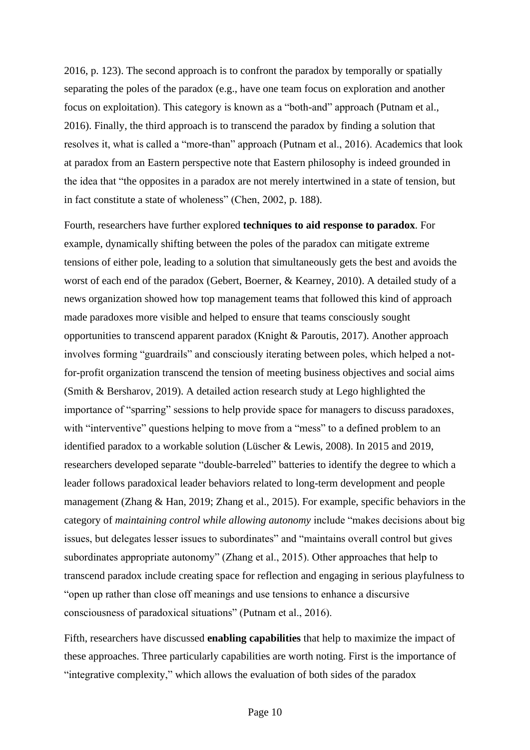2016, p. 123). The second approach is to confront the paradox by temporally or spatially separating the poles of the paradox (e.g., have one team focus on exploration and another focus on exploitation). This category is known as a "both-and" approach (Putnam et al., 2016). Finally, the third approach is to transcend the paradox by finding a solution that resolves it, what is called a "more-than" approach (Putnam et al., 2016). Academics that look at paradox from an Eastern perspective note that Eastern philosophy is indeed grounded in the idea that "the opposites in a paradox are not merely intertwined in a state of tension, but in fact constitute a state of wholeness" (Chen, 2002, p. 188).

Fourth, researchers have further explored **techniques to aid response to paradox**. For example, dynamically shifting between the poles of the paradox can mitigate extreme tensions of either pole, leading to a solution that simultaneously gets the best and avoids the worst of each end of the paradox (Gebert, Boerner, & Kearney, 2010). A detailed study of a news organization showed how top management teams that followed this kind of approach made paradoxes more visible and helped to ensure that teams consciously sought opportunities to transcend apparent paradox (Knight & Paroutis, 2017). Another approach involves forming "guardrails" and consciously iterating between poles, which helped a notfor-profit organization transcend the tension of meeting business objectives and social aims (Smith & Bersharov, 2019). A detailed action research study at Lego highlighted the importance of "sparring" sessions to help provide space for managers to discuss paradoxes, with "interventive" questions helping to move from a "mess" to a defined problem to an identified paradox to a workable solution (Lüscher & Lewis, 2008). In 2015 and 2019, researchers developed separate "double-barreled" batteries to identify the degree to which a leader follows paradoxical leader behaviors related to long-term development and people management (Zhang & Han, 2019; Zhang et al., 2015). For example, specific behaviors in the category of *maintaining control while allowing autonomy* include "makes decisions about big issues, but delegates lesser issues to subordinates" and "maintains overall control but gives subordinates appropriate autonomy" (Zhang et al., 2015). Other approaches that help to transcend paradox include creating space for reflection and engaging in serious playfulness to "open up rather than close off meanings and use tensions to enhance a discursive consciousness of paradoxical situations" (Putnam et al., 2016).

Fifth, researchers have discussed **enabling capabilities** that help to maximize the impact of these approaches. Three particularly capabilities are worth noting. First is the importance of "integrative complexity," which allows the evaluation of both sides of the paradox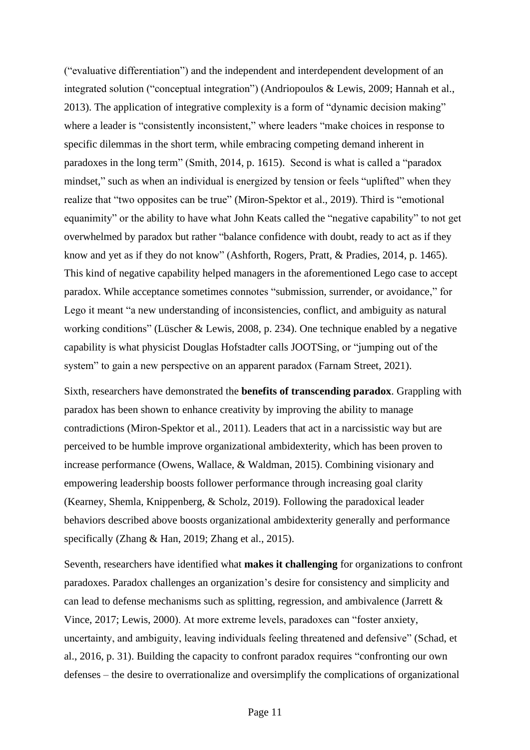("evaluative differentiation") and the independent and interdependent development of an integrated solution ("conceptual integration") (Andriopoulos & Lewis, 2009; Hannah et al., 2013). The application of integrative complexity is a form of "dynamic decision making" where a leader is "consistently inconsistent," where leaders "make choices in response to specific dilemmas in the short term, while embracing competing demand inherent in paradoxes in the long term" (Smith, 2014, p. 1615). Second is what is called a "paradox mindset," such as when an individual is energized by tension or feels "uplifted" when they realize that "two opposites can be true" (Miron-Spektor et al., 2019). Third is "emotional equanimity" or the ability to have what John Keats called the "negative capability" to not get overwhelmed by paradox but rather "balance confidence with doubt, ready to act as if they know and yet as if they do not know" (Ashforth, Rogers, Pratt, & Pradies, 2014, p. 1465). This kind of negative capability helped managers in the aforementioned Lego case to accept paradox. While acceptance sometimes connotes "submission, surrender, or avoidance," for Lego it meant "a new understanding of inconsistencies, conflict, and ambiguity as natural working conditions" (Lüscher & Lewis, 2008, p. 234). One technique enabled by a negative capability is what physicist Douglas Hofstadter calls JOOTSing, or "jumping out of the system" to gain a new perspective on an apparent paradox (Farnam Street, 2021).

Sixth, researchers have demonstrated the **benefits of transcending paradox**. Grappling with paradox has been shown to enhance creativity by improving the ability to manage contradictions (Miron-Spektor et al., 2011). Leaders that act in a narcissistic way but are perceived to be humble improve organizational ambidexterity, which has been proven to increase performance (Owens, Wallace, & Waldman, 2015). Combining visionary and empowering leadership boosts follower performance through increasing goal clarity (Kearney, Shemla, Knippenberg, & Scholz, 2019). Following the paradoxical leader behaviors described above boosts organizational ambidexterity generally and performance specifically (Zhang & Han, 2019; Zhang et al., 2015).

Seventh, researchers have identified what **makes it challenging** for organizations to confront paradoxes. Paradox challenges an organization's desire for consistency and simplicity and can lead to defense mechanisms such as splitting, regression, and ambivalence (Jarrett & Vince, 2017; Lewis, 2000). At more extreme levels, paradoxes can "foster anxiety, uncertainty, and ambiguity, leaving individuals feeling threatened and defensive" (Schad, et al., 2016, p. 31). Building the capacity to confront paradox requires "confronting our own defenses – the desire to overrationalize and oversimplify the complications of organizational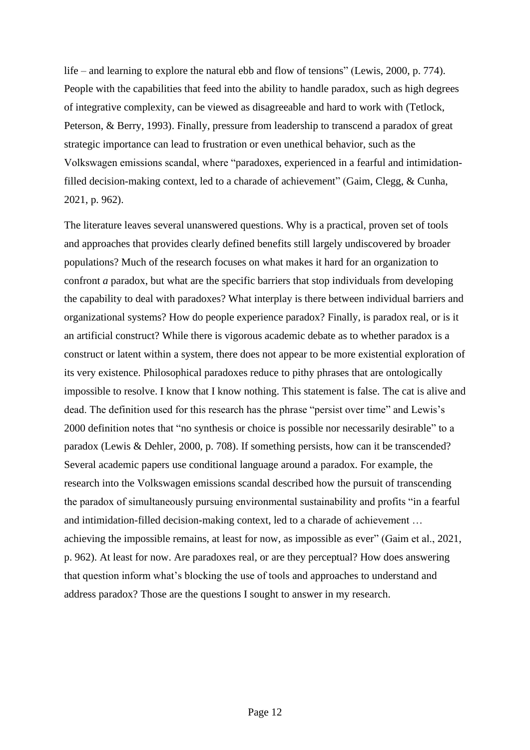life – and learning to explore the natural ebb and flow of tensions" (Lewis, 2000, p. 774). People with the capabilities that feed into the ability to handle paradox, such as high degrees of integrative complexity, can be viewed as disagreeable and hard to work with (Tetlock, Peterson, & Berry, 1993). Finally, pressure from leadership to transcend a paradox of great strategic importance can lead to frustration or even unethical behavior, such as the Volkswagen emissions scandal, where "paradoxes, experienced in a fearful and intimidationfilled decision-making context, led to a charade of achievement" (Gaim, Clegg, & Cunha, 2021, p. 962).

The literature leaves several unanswered questions. Why is a practical, proven set of tools and approaches that provides clearly defined benefits still largely undiscovered by broader populations? Much of the research focuses on what makes it hard for an organization to confront *a* paradox, but what are the specific barriers that stop individuals from developing the capability to deal with paradoxes? What interplay is there between individual barriers and organizational systems? How do people experience paradox? Finally, is paradox real, or is it an artificial construct? While there is vigorous academic debate as to whether paradox is a construct or latent within a system, there does not appear to be more existential exploration of its very existence. Philosophical paradoxes reduce to pithy phrases that are ontologically impossible to resolve. I know that I know nothing. This statement is false. The cat is alive and dead. The definition used for this research has the phrase "persist over time" and Lewis's 2000 definition notes that "no synthesis or choice is possible nor necessarily desirable" to a paradox (Lewis & Dehler, 2000, p. 708). If something persists, how can it be transcended? Several academic papers use conditional language around a paradox. For example, the research into the Volkswagen emissions scandal described how the pursuit of transcending the paradox of simultaneously pursuing environmental sustainability and profits "in a fearful and intimidation-filled decision-making context, led to a charade of achievement … achieving the impossible remains, at least for now, as impossible as ever" (Gaim et al., 2021, p. 962). At least for now. Are paradoxes real, or are they perceptual? How does answering that question inform what's blocking the use of tools and approaches to understand and address paradox? Those are the questions I sought to answer in my research.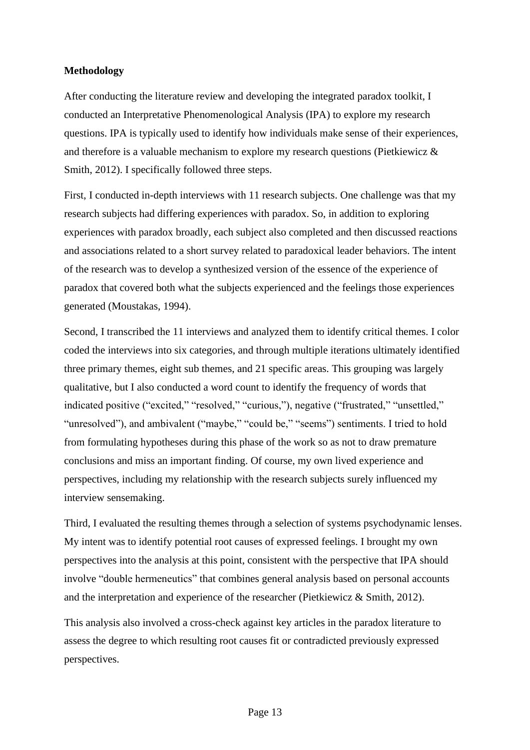### **Methodology**

After conducting the literature review and developing the integrated paradox toolkit, I conducted an Interpretative Phenomenological Analysis (IPA) to explore my research questions. IPA is typically used to identify how individuals make sense of their experiences, and therefore is a valuable mechanism to explore my research questions (Pietkiewicz & Smith, 2012). I specifically followed three steps.

First, I conducted in-depth interviews with 11 research subjects. One challenge was that my research subjects had differing experiences with paradox. So, in addition to exploring experiences with paradox broadly, each subject also completed and then discussed reactions and associations related to a short survey related to paradoxical leader behaviors. The intent of the research was to develop a synthesized version of the essence of the experience of paradox that covered both what the subjects experienced and the feelings those experiences generated (Moustakas, 1994).

Second, I transcribed the 11 interviews and analyzed them to identify critical themes. I color coded the interviews into six categories, and through multiple iterations ultimately identified three primary themes, eight sub themes, and 21 specific areas. This grouping was largely qualitative, but I also conducted a word count to identify the frequency of words that indicated positive ("excited," "resolved," "curious,"), negative ("frustrated," "unsettled," "unresolved"), and ambivalent ("maybe," "could be," "seems") sentiments. I tried to hold from formulating hypotheses during this phase of the work so as not to draw premature conclusions and miss an important finding. Of course, my own lived experience and perspectives, including my relationship with the research subjects surely influenced my interview sensemaking.

Third, I evaluated the resulting themes through a selection of systems psychodynamic lenses. My intent was to identify potential root causes of expressed feelings. I brought my own perspectives into the analysis at this point, consistent with the perspective that IPA should involve "double hermeneutics" that combines general analysis based on personal accounts and the interpretation and experience of the researcher (Pietkiewicz & Smith, 2012).

This analysis also involved a cross-check against key articles in the paradox literature to assess the degree to which resulting root causes fit or contradicted previously expressed perspectives.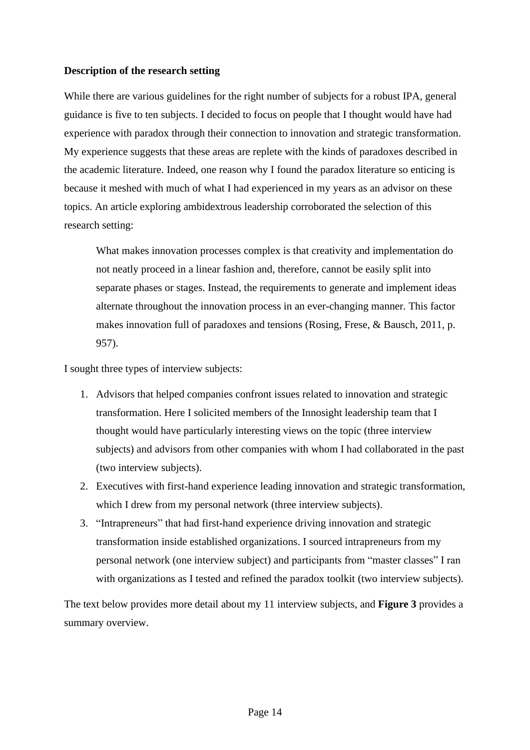### **Description of the research setting**

While there are various guidelines for the right number of subjects for a robust IPA, general guidance is five to ten subjects. I decided to focus on people that I thought would have had experience with paradox through their connection to innovation and strategic transformation. My experience suggests that these areas are replete with the kinds of paradoxes described in the academic literature. Indeed, one reason why I found the paradox literature so enticing is because it meshed with much of what I had experienced in my years as an advisor on these topics. An article exploring ambidextrous leadership corroborated the selection of this research setting:

What makes innovation processes complex is that creativity and implementation do not neatly proceed in a linear fashion and, therefore, cannot be easily split into separate phases or stages. Instead, the requirements to generate and implement ideas alternate throughout the innovation process in an ever-changing manner. This factor makes innovation full of paradoxes and tensions (Rosing, Frese, & Bausch, 2011, p. 957).

I sought three types of interview subjects:

- 1. Advisors that helped companies confront issues related to innovation and strategic transformation. Here I solicited members of the Innosight leadership team that I thought would have particularly interesting views on the topic (three interview subjects) and advisors from other companies with whom I had collaborated in the past (two interview subjects).
- 2. Executives with first-hand experience leading innovation and strategic transformation, which I drew from my personal network (three interview subjects).
- 3. "Intrapreneurs" that had first-hand experience driving innovation and strategic transformation inside established organizations. I sourced intrapreneurs from my personal network (one interview subject) and participants from "master classes" I ran with organizations as I tested and refined the paradox toolkit (two interview subjects).

The text below provides more detail about my 11 interview subjects, and **Figure 3** provides a summary overview.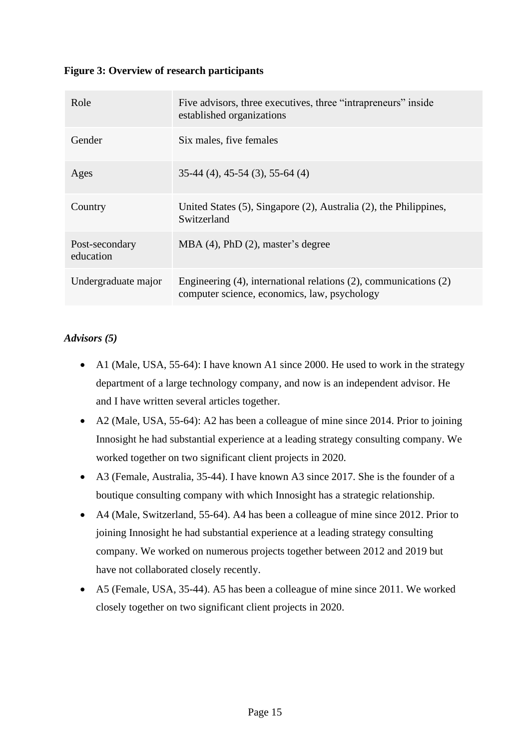## **Figure 3: Overview of research participants**

| Role                        | Five advisors, three executives, three "intrapreneurs" inside<br>established organizations                               |
|-----------------------------|--------------------------------------------------------------------------------------------------------------------------|
| Gender                      | Six males, five females                                                                                                  |
| Ages                        | $35-44$ (4), 45-54 (3), 55-64 (4)                                                                                        |
| Country                     | United States $(5)$ , Singapore $(2)$ , Australia $(2)$ , the Philippines,<br>Switzerland                                |
| Post-secondary<br>education | $MBA$ (4), PhD (2), master's degree                                                                                      |
| Undergraduate major         | Engineering $(4)$ , international relations $(2)$ , communications $(2)$<br>computer science, economics, law, psychology |

## *Advisors (5)*

- A1 (Male, USA, 55-64): I have known A1 since 2000. He used to work in the strategy department of a large technology company, and now is an independent advisor. He and I have written several articles together.
- A2 (Male, USA, 55-64): A2 has been a colleague of mine since 2014. Prior to joining Innosight he had substantial experience at a leading strategy consulting company. We worked together on two significant client projects in 2020.
- A3 (Female, Australia, 35-44). I have known A3 since 2017. She is the founder of a boutique consulting company with which Innosight has a strategic relationship.
- A4 (Male, Switzerland, 55-64). A4 has been a colleague of mine since 2012. Prior to joining Innosight he had substantial experience at a leading strategy consulting company. We worked on numerous projects together between 2012 and 2019 but have not collaborated closely recently.
- A5 (Female, USA, 35-44). A5 has been a colleague of mine since 2011. We worked closely together on two significant client projects in 2020.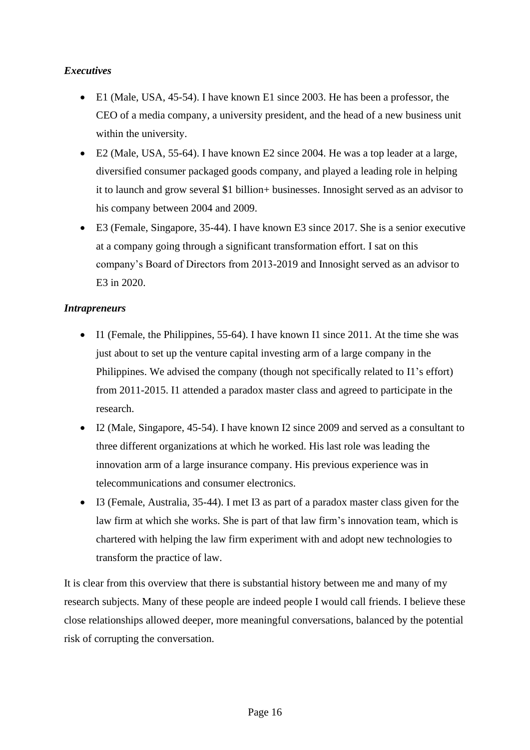## *Executives*

- E1 (Male, USA, 45-54). I have known E1 since 2003. He has been a professor, the CEO of a media company, a university president, and the head of a new business unit within the university.
- E2 (Male, USA, 55-64). I have known E2 since 2004. He was a top leader at a large, diversified consumer packaged goods company, and played a leading role in helping it to launch and grow several \$1 billion+ businesses. Innosight served as an advisor to his company between 2004 and 2009.
- E3 (Female, Singapore, 35-44). I have known E3 since 2017. She is a senior executive at a company going through a significant transformation effort. I sat on this company's Board of Directors from 2013-2019 and Innosight served as an advisor to E3 in 2020.

## *Intrapreneurs*

- Il (Female, the Philippines, 55-64). I have known Il since 2011. At the time she was just about to set up the venture capital investing arm of a large company in the Philippines. We advised the company (though not specifically related to I1's effort) from 2011-2015. I1 attended a paradox master class and agreed to participate in the research.
- I2 (Male, Singapore, 45-54). I have known I2 since 2009 and served as a consultant to three different organizations at which he worked. His last role was leading the innovation arm of a large insurance company. His previous experience was in telecommunications and consumer electronics.
- I3 (Female, Australia, 35-44). I met I3 as part of a paradox master class given for the law firm at which she works. She is part of that law firm's innovation team, which is chartered with helping the law firm experiment with and adopt new technologies to transform the practice of law.

It is clear from this overview that there is substantial history between me and many of my research subjects. Many of these people are indeed people I would call friends. I believe these close relationships allowed deeper, more meaningful conversations, balanced by the potential risk of corrupting the conversation.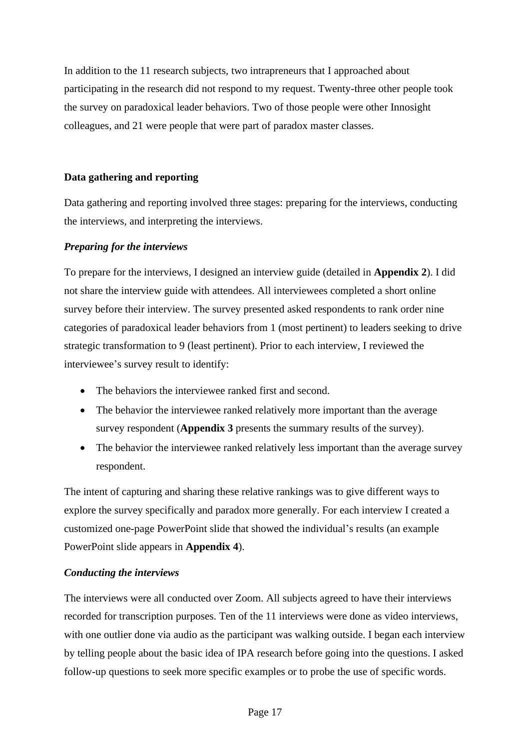In addition to the 11 research subjects, two intrapreneurs that I approached about participating in the research did not respond to my request. Twenty-three other people took the survey on paradoxical leader behaviors. Two of those people were other Innosight colleagues, and 21 were people that were part of paradox master classes.

## **Data gathering and reporting**

Data gathering and reporting involved three stages: preparing for the interviews, conducting the interviews, and interpreting the interviews.

## *Preparing for the interviews*

To prepare for the interviews, I designed an interview guide (detailed in **Appendix 2**). I did not share the interview guide with attendees. All interviewees completed a short online survey before their interview. The survey presented asked respondents to rank order nine categories of paradoxical leader behaviors from 1 (most pertinent) to leaders seeking to drive strategic transformation to 9 (least pertinent). Prior to each interview, I reviewed the interviewee's survey result to identify:

- The behaviors the interviewee ranked first and second.
- The behavior the interviewee ranked relatively more important than the average survey respondent (**Appendix 3** presents the summary results of the survey).
- The behavior the interviewee ranked relatively less important than the average survey respondent.

The intent of capturing and sharing these relative rankings was to give different ways to explore the survey specifically and paradox more generally. For each interview I created a customized one-page PowerPoint slide that showed the individual's results (an example PowerPoint slide appears in **Appendix 4**).

## *Conducting the interviews*

The interviews were all conducted over Zoom. All subjects agreed to have their interviews recorded for transcription purposes. Ten of the 11 interviews were done as video interviews, with one outlier done via audio as the participant was walking outside. I began each interview by telling people about the basic idea of IPA research before going into the questions. I asked follow-up questions to seek more specific examples or to probe the use of specific words.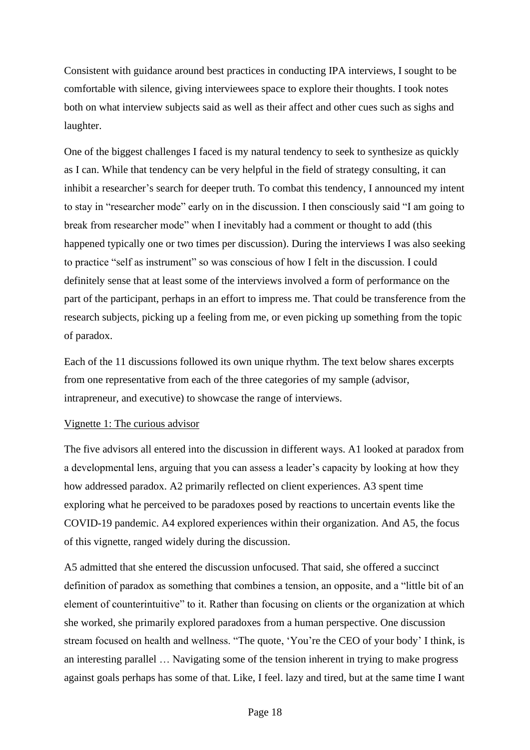Consistent with guidance around best practices in conducting IPA interviews, I sought to be comfortable with silence, giving interviewees space to explore their thoughts. I took notes both on what interview subjects said as well as their affect and other cues such as sighs and laughter.

One of the biggest challenges I faced is my natural tendency to seek to synthesize as quickly as I can. While that tendency can be very helpful in the field of strategy consulting, it can inhibit a researcher's search for deeper truth. To combat this tendency, I announced my intent to stay in "researcher mode" early on in the discussion. I then consciously said "I am going to break from researcher mode" when I inevitably had a comment or thought to add (this happened typically one or two times per discussion). During the interviews I was also seeking to practice "self as instrument" so was conscious of how I felt in the discussion. I could definitely sense that at least some of the interviews involved a form of performance on the part of the participant, perhaps in an effort to impress me. That could be transference from the research subjects, picking up a feeling from me, or even picking up something from the topic of paradox.

Each of the 11 discussions followed its own unique rhythm. The text below shares excerpts from one representative from each of the three categories of my sample (advisor, intrapreneur, and executive) to showcase the range of interviews.

## Vignette 1: The curious advisor

The five advisors all entered into the discussion in different ways. A1 looked at paradox from a developmental lens, arguing that you can assess a leader's capacity by looking at how they how addressed paradox. A2 primarily reflected on client experiences. A3 spent time exploring what he perceived to be paradoxes posed by reactions to uncertain events like the COVID-19 pandemic. A4 explored experiences within their organization. And A5, the focus of this vignette, ranged widely during the discussion.

A5 admitted that she entered the discussion unfocused. That said, she offered a succinct definition of paradox as something that combines a tension, an opposite, and a "little bit of an element of counterintuitive" to it. Rather than focusing on clients or the organization at which she worked, she primarily explored paradoxes from a human perspective. One discussion stream focused on health and wellness. "The quote, 'You're the CEO of your body' I think, is an interesting parallel … Navigating some of the tension inherent in trying to make progress against goals perhaps has some of that. Like, I feel. lazy and tired, but at the same time I want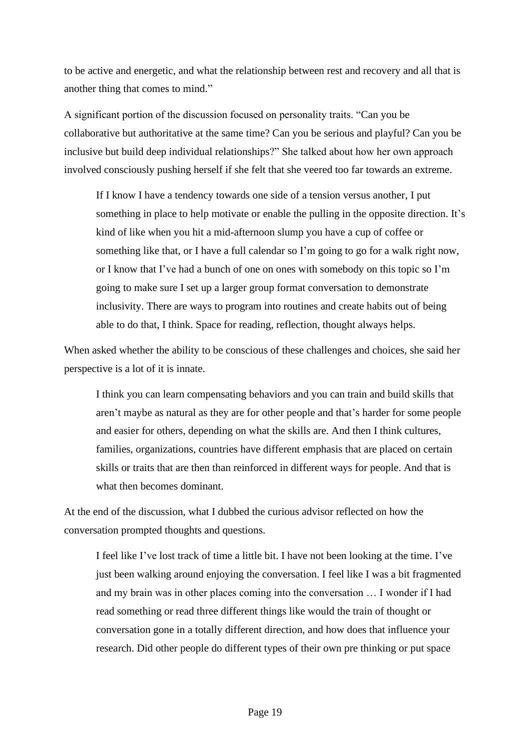to be active and energetic, and what the relationship between rest and recovery and all that is another thing that comes to mind."

A significant portion of the discussion focused on personality traits. "Can you be collaborative but authoritative at the same time? Can you be serious and playful? Can you be inclusive but build deep individual relationships?" She talked about how her own approach involved consciously pushing herself if she felt that she veered too far towards an extreme.

If I know I have a tendency towards one side of a tension versus another, I put something in place to help motivate or enable the pulling in the opposite direction. It's kind of like when you hit a mid-afternoon slump you have a cup of coffee or something like that, or I have a full calendar so I'm going to go for a walk right now, or I know that I've had a bunch of one on ones with somebody on this topic so I'm going to make sure I set up a larger group format conversation to demonstrate inclusivity. There are ways to program into routines and create habits out of being able to do that, I think. Space for reading, reflection, thought always helps.

When asked whether the ability to be conscious of these challenges and choices, she said her perspective is a lot of it is innate.

I think you can learn compensating behaviors and you can train and build skills that aren't maybe as natural as they are for other people and that's harder for some people and easier for others, depending on what the skills are. And then I think cultures, families, organizations, countries have different emphasis that are placed on certain skills or traits that are then than reinforced in different ways for people. And that is what then becomes dominant.

At the end of the discussion, what I dubbed the curious advisor reflected on how the conversation prompted thoughts and questions.

I feel like I've lost track of time a little bit. I have not been looking at the time. I've just been walking around enjoying the conversation. I feel like I was a bit fragmented and my brain was in other places coming into the conversation … I wonder if I had read something or read three different things like would the train of thought or conversation gone in a totally different direction, and how does that influence your research. Did other people do different types of their own pre thinking or put space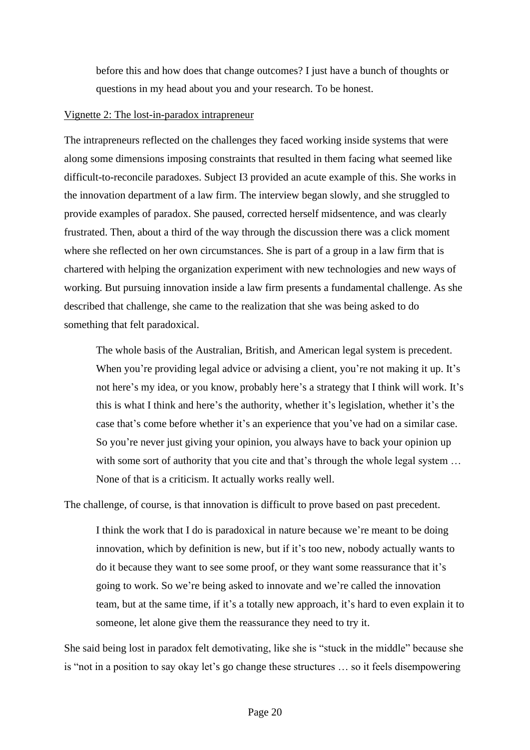before this and how does that change outcomes? I just have a bunch of thoughts or questions in my head about you and your research. To be honest.

#### Vignette 2: The lost-in-paradox intrapreneur

The intrapreneurs reflected on the challenges they faced working inside systems that were along some dimensions imposing constraints that resulted in them facing what seemed like difficult-to-reconcile paradoxes. Subject I3 provided an acute example of this. She works in the innovation department of a law firm. The interview began slowly, and she struggled to provide examples of paradox. She paused, corrected herself midsentence, and was clearly frustrated. Then, about a third of the way through the discussion there was a click moment where she reflected on her own circumstances. She is part of a group in a law firm that is chartered with helping the organization experiment with new technologies and new ways of working. But pursuing innovation inside a law firm presents a fundamental challenge. As she described that challenge, she came to the realization that she was being asked to do something that felt paradoxical.

The whole basis of the Australian, British, and American legal system is precedent. When you're providing legal advice or advising a client, you're not making it up. It's not here's my idea, or you know, probably here's a strategy that I think will work. It's this is what I think and here's the authority, whether it's legislation, whether it's the case that's come before whether it's an experience that you've had on a similar case. So you're never just giving your opinion, you always have to back your opinion up with some sort of authority that you cite and that's through the whole legal system ... None of that is a criticism. It actually works really well.

The challenge, of course, is that innovation is difficult to prove based on past precedent.

I think the work that I do is paradoxical in nature because we're meant to be doing innovation, which by definition is new, but if it's too new, nobody actually wants to do it because they want to see some proof, or they want some reassurance that it's going to work. So we're being asked to innovate and we're called the innovation team, but at the same time, if it's a totally new approach, it's hard to even explain it to someone, let alone give them the reassurance they need to try it.

She said being lost in paradox felt demotivating, like she is "stuck in the middle" because she is "not in a position to say okay let's go change these structures … so it feels disempowering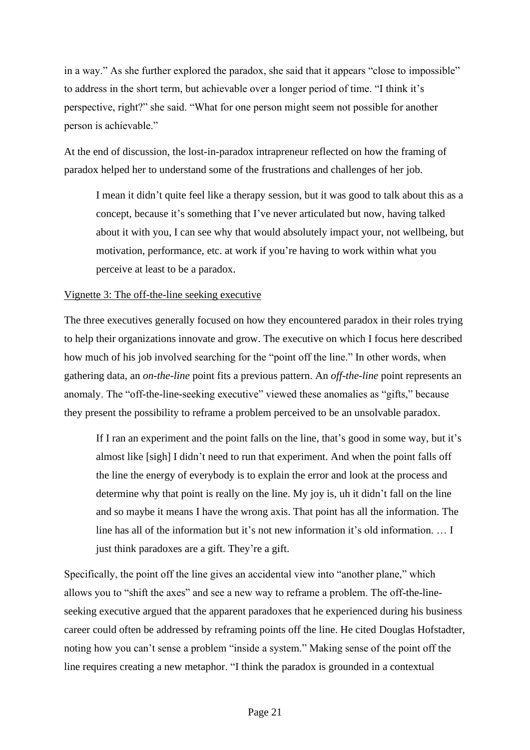in a way." As she further explored the paradox, she said that it appears "close to impossible" to address in the short term, but achievable over a longer period of time. "I think it's perspective, right?" she said. "What for one person might seem not possible for another person is achievable."

At the end of discussion, the lost-in-paradox intrapreneur reflected on how the framing of paradox helped her to understand some of the frustrations and challenges of her job.

I mean it didn't quite feel like a therapy session, but it was good to talk about this as a concept, because it's something that I've never articulated but now, having talked about it with you, I can see why that would absolutely impact your, not wellbeing, but motivation, performance, etc. at work if you're having to work within what you perceive at least to be a paradox.

#### Vignette 3: The off-the-line seeking executive

The three executives generally focused on how they encountered paradox in their roles trying to help their organizations innovate and grow. The executive on which I focus here described how much of his job involved searching for the "point off the line." In other words, when gathering data, an *on-the-line* point fits a previous pattern. An *off-the-line* point represents an anomaly. The "off-the-line-seeking executive" viewed these anomalies as "gifts," because they present the possibility to reframe a problem perceived to be an unsolvable paradox.

If I ran an experiment and the point falls on the line, that's good in some way, but it's almost like [sigh] I didn't need to run that experiment. And when the point falls off the line the energy of everybody is to explain the error and look at the process and determine why that point is really on the line. My joy is, uh it didn't fall on the line and so maybe it means I have the wrong axis. That point has all the information. The line has all of the information but it's not new information it's old information. … I just think paradoxes are a gift. They're a gift.

Specifically, the point off the line gives an accidental view into "another plane," which allows you to "shift the axes" and see a new way to reframe a problem. The off-the-lineseeking executive argued that the apparent paradoxes that he experienced during his business career could often be addressed by reframing points off the line. He cited Douglas Hofstadter, noting how you can't sense a problem "inside a system." Making sense of the point off the line requires creating a new metaphor. "I think the paradox is grounded in a contextual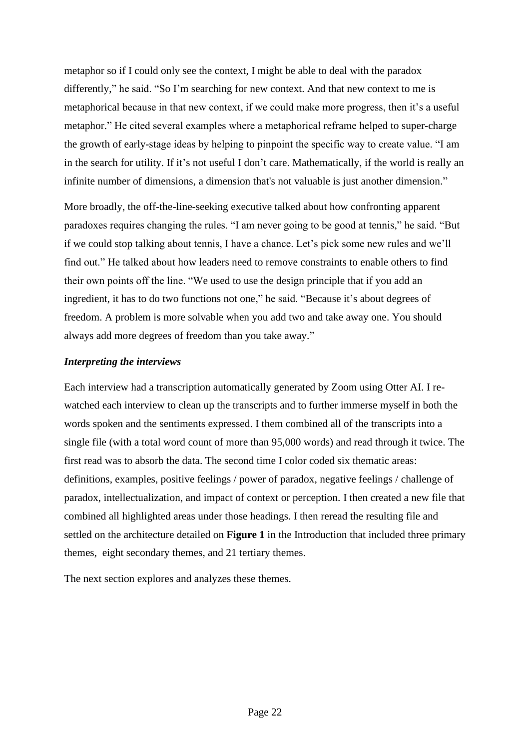metaphor so if I could only see the context, I might be able to deal with the paradox differently," he said. "So I'm searching for new context. And that new context to me is metaphorical because in that new context, if we could make more progress, then it's a useful metaphor." He cited several examples where a metaphorical reframe helped to super-charge the growth of early-stage ideas by helping to pinpoint the specific way to create value. "I am in the search for utility. If it's not useful I don't care. Mathematically, if the world is really an infinite number of dimensions, a dimension that's not valuable is just another dimension."

More broadly, the off-the-line-seeking executive talked about how confronting apparent paradoxes requires changing the rules. "I am never going to be good at tennis," he said. "But if we could stop talking about tennis, I have a chance. Let's pick some new rules and we'll find out." He talked about how leaders need to remove constraints to enable others to find their own points off the line. "We used to use the design principle that if you add an ingredient, it has to do two functions not one," he said. "Because it's about degrees of freedom. A problem is more solvable when you add two and take away one. You should always add more degrees of freedom than you take away."

#### *Interpreting the interviews*

Each interview had a transcription automatically generated by Zoom using Otter AI. I rewatched each interview to clean up the transcripts and to further immerse myself in both the words spoken and the sentiments expressed. I them combined all of the transcripts into a single file (with a total word count of more than 95,000 words) and read through it twice. The first read was to absorb the data. The second time I color coded six thematic areas: definitions, examples, positive feelings / power of paradox, negative feelings / challenge of paradox, intellectualization, and impact of context or perception. I then created a new file that combined all highlighted areas under those headings. I then reread the resulting file and settled on the architecture detailed on **Figure 1** in the Introduction that included three primary themes, eight secondary themes, and 21 tertiary themes.

The next section explores and analyzes these themes.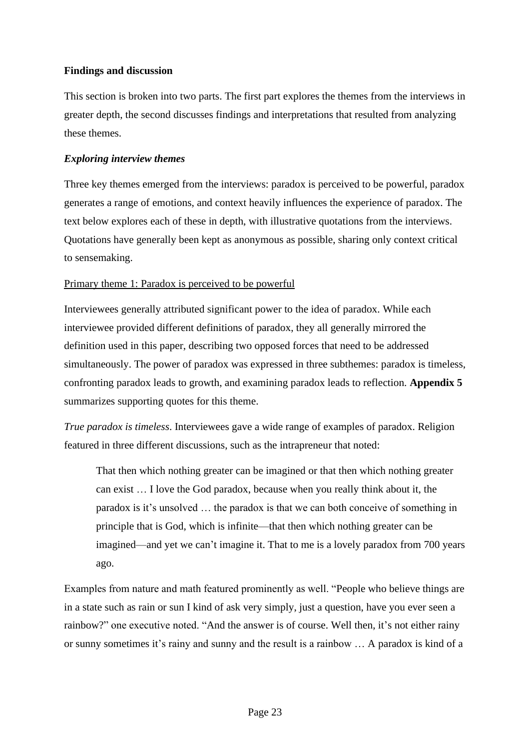## **Findings and discussion**

This section is broken into two parts. The first part explores the themes from the interviews in greater depth, the second discusses findings and interpretations that resulted from analyzing these themes.

#### *Exploring interview themes*

Three key themes emerged from the interviews: paradox is perceived to be powerful, paradox generates a range of emotions, and context heavily influences the experience of paradox. The text below explores each of these in depth, with illustrative quotations from the interviews. Quotations have generally been kept as anonymous as possible, sharing only context critical to sensemaking.

#### Primary theme 1: Paradox is perceived to be powerful

Interviewees generally attributed significant power to the idea of paradox. While each interviewee provided different definitions of paradox, they all generally mirrored the definition used in this paper, describing two opposed forces that need to be addressed simultaneously. The power of paradox was expressed in three subthemes: paradox is timeless, confronting paradox leads to growth, and examining paradox leads to reflection. **Appendix 5**  summarizes supporting quotes for this theme.

*True paradox is timeless*. Interviewees gave a wide range of examples of paradox. Religion featured in three different discussions, such as the intrapreneur that noted:

That then which nothing greater can be imagined or that then which nothing greater can exist … I love the God paradox, because when you really think about it, the paradox is it's unsolved … the paradox is that we can both conceive of something in principle that is God, which is infinite—that then which nothing greater can be imagined—and yet we can't imagine it. That to me is a lovely paradox from 700 years ago.

Examples from nature and math featured prominently as well. "People who believe things are in a state such as rain or sun I kind of ask very simply, just a question, have you ever seen a rainbow?" one executive noted. "And the answer is of course. Well then, it's not either rainy or sunny sometimes it's rainy and sunny and the result is a rainbow … A paradox is kind of a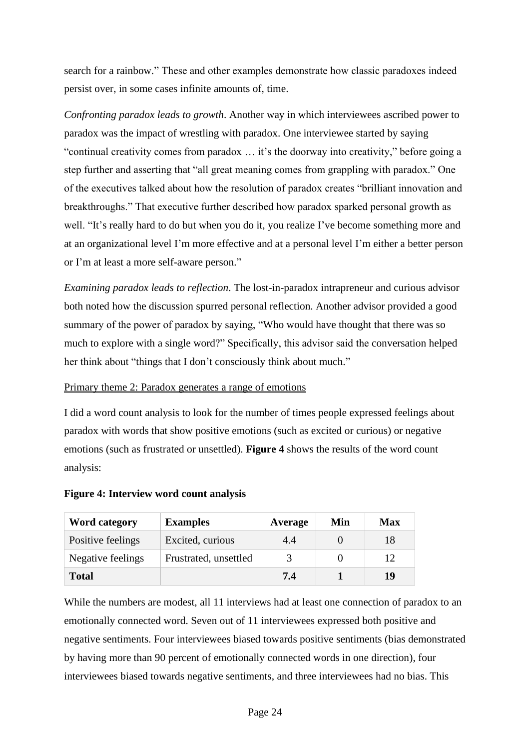search for a rainbow." These and other examples demonstrate how classic paradoxes indeed persist over, in some cases infinite amounts of, time.

*Confronting paradox leads to growth*. Another way in which interviewees ascribed power to paradox was the impact of wrestling with paradox. One interviewee started by saying "continual creativity comes from paradox … it's the doorway into creativity," before going a step further and asserting that "all great meaning comes from grappling with paradox." One of the executives talked about how the resolution of paradox creates "brilliant innovation and breakthroughs." That executive further described how paradox sparked personal growth as well. "It's really hard to do but when you do it, you realize I've become something more and at an organizational level I'm more effective and at a personal level I'm either a better person or I'm at least a more self-aware person."

*Examining paradox leads to reflection*. The lost-in-paradox intrapreneur and curious advisor both noted how the discussion spurred personal reflection. Another advisor provided a good summary of the power of paradox by saying, "Who would have thought that there was so much to explore with a single word?" Specifically, this advisor said the conversation helped her think about "things that I don't consciously think about much."

## Primary theme 2: Paradox generates a range of emotions

I did a word count analysis to look for the number of times people expressed feelings about paradox with words that show positive emotions (such as excited or curious) or negative emotions (such as frustrated or unsettled). **Figure 4** shows the results of the word count analysis:

| <b>Word category</b> | <b>Examples</b>       | Average | Min | <b>Max</b> |
|----------------------|-----------------------|---------|-----|------------|
| Positive feelings    | Excited, curious      | 4.4     |     | 18         |
| Negative feelings    | Frustrated, unsettled |         |     | 12         |
| <b>Total</b>         |                       | 7.4     |     | 19         |

## **Figure 4: Interview word count analysis**

While the numbers are modest, all 11 interviews had at least one connection of paradox to an emotionally connected word. Seven out of 11 interviewees expressed both positive and negative sentiments. Four interviewees biased towards positive sentiments (bias demonstrated by having more than 90 percent of emotionally connected words in one direction), four interviewees biased towards negative sentiments, and three interviewees had no bias. This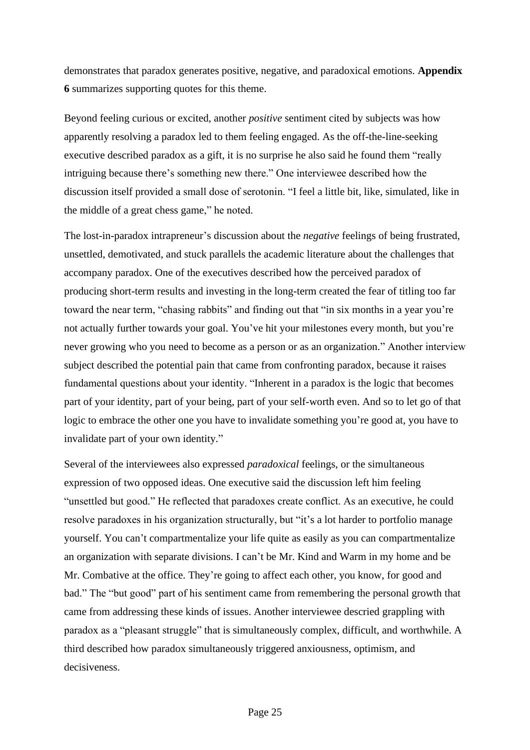demonstrates that paradox generates positive, negative, and paradoxical emotions. **Appendix 6** summarizes supporting quotes for this theme.

Beyond feeling curious or excited, another *positive* sentiment cited by subjects was how apparently resolving a paradox led to them feeling engaged. As the off-the-line-seeking executive described paradox as a gift, it is no surprise he also said he found them "really intriguing because there's something new there." One interviewee described how the discussion itself provided a small dose of serotonin. "I feel a little bit, like, simulated, like in the middle of a great chess game," he noted.

The lost-in-paradox intrapreneur's discussion about the *negative* feelings of being frustrated, unsettled, demotivated, and stuck parallels the academic literature about the challenges that accompany paradox. One of the executives described how the perceived paradox of producing short-term results and investing in the long-term created the fear of titling too far toward the near term, "chasing rabbits" and finding out that "in six months in a year you're not actually further towards your goal. You've hit your milestones every month, but you're never growing who you need to become as a person or as an organization." Another interview subject described the potential pain that came from confronting paradox, because it raises fundamental questions about your identity. "Inherent in a paradox is the logic that becomes part of your identity, part of your being, part of your self-worth even. And so to let go of that logic to embrace the other one you have to invalidate something you're good at, you have to invalidate part of your own identity."

Several of the interviewees also expressed *paradoxical* feelings, or the simultaneous expression of two opposed ideas. One executive said the discussion left him feeling "unsettled but good." He reflected that paradoxes create conflict. As an executive, he could resolve paradoxes in his organization structurally, but "it's a lot harder to portfolio manage yourself. You can't compartmentalize your life quite as easily as you can compartmentalize an organization with separate divisions. I can't be Mr. Kind and Warm in my home and be Mr. Combative at the office. They're going to affect each other, you know, for good and bad." The "but good" part of his sentiment came from remembering the personal growth that came from addressing these kinds of issues. Another interviewee descried grappling with paradox as a "pleasant struggle" that is simultaneously complex, difficult, and worthwhile. A third described how paradox simultaneously triggered anxiousness, optimism, and decisiveness.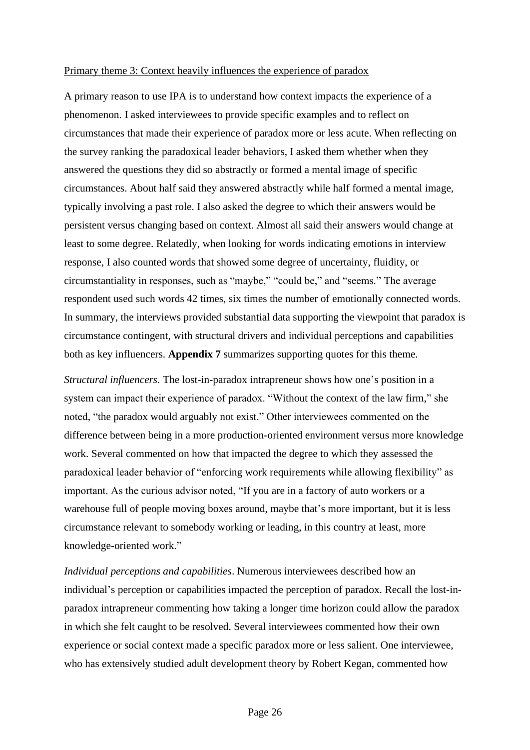#### Primary theme 3: Context heavily influences the experience of paradox

A primary reason to use IPA is to understand how context impacts the experience of a phenomenon. I asked interviewees to provide specific examples and to reflect on circumstances that made their experience of paradox more or less acute. When reflecting on the survey ranking the paradoxical leader behaviors, I asked them whether when they answered the questions they did so abstractly or formed a mental image of specific circumstances. About half said they answered abstractly while half formed a mental image, typically involving a past role. I also asked the degree to which their answers would be persistent versus changing based on context. Almost all said their answers would change at least to some degree. Relatedly, when looking for words indicating emotions in interview response, I also counted words that showed some degree of uncertainty, fluidity, or circumstantiality in responses, such as "maybe," "could be," and "seems." The average respondent used such words 42 times, six times the number of emotionally connected words. In summary, the interviews provided substantial data supporting the viewpoint that paradox is circumstance contingent, with structural drivers and individual perceptions and capabilities both as key influencers. **Appendix 7** summarizes supporting quotes for this theme.

*Structural influencers.* The lost-in-paradox intrapreneur shows how one's position in a system can impact their experience of paradox. "Without the context of the law firm," she noted, "the paradox would arguably not exist." Other interviewees commented on the difference between being in a more production-oriented environment versus more knowledge work. Several commented on how that impacted the degree to which they assessed the paradoxical leader behavior of "enforcing work requirements while allowing flexibility" as important. As the curious advisor noted, "If you are in a factory of auto workers or a warehouse full of people moving boxes around, maybe that's more important, but it is less circumstance relevant to somebody working or leading, in this country at least, more knowledge-oriented work."

*Individual perceptions and capabilities*. Numerous interviewees described how an individual's perception or capabilities impacted the perception of paradox. Recall the lost-inparadox intrapreneur commenting how taking a longer time horizon could allow the paradox in which she felt caught to be resolved. Several interviewees commented how their own experience or social context made a specific paradox more or less salient. One interviewee, who has extensively studied adult development theory by Robert Kegan, commented how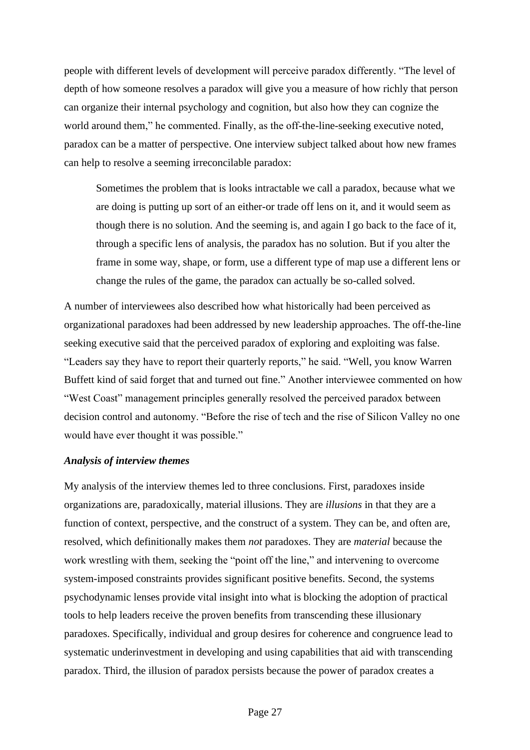people with different levels of development will perceive paradox differently. "The level of depth of how someone resolves a paradox will give you a measure of how richly that person can organize their internal psychology and cognition, but also how they can cognize the world around them," he commented. Finally, as the off-the-line-seeking executive noted, paradox can be a matter of perspective. One interview subject talked about how new frames can help to resolve a seeming irreconcilable paradox:

Sometimes the problem that is looks intractable we call a paradox, because what we are doing is putting up sort of an either-or trade off lens on it, and it would seem as though there is no solution. And the seeming is, and again I go back to the face of it, through a specific lens of analysis, the paradox has no solution. But if you alter the frame in some way, shape, or form, use a different type of map use a different lens or change the rules of the game, the paradox can actually be so-called solved.

A number of interviewees also described how what historically had been perceived as organizational paradoxes had been addressed by new leadership approaches. The off-the-line seeking executive said that the perceived paradox of exploring and exploiting was false. "Leaders say they have to report their quarterly reports," he said. "Well, you know Warren Buffett kind of said forget that and turned out fine." Another interviewee commented on how "West Coast" management principles generally resolved the perceived paradox between decision control and autonomy. "Before the rise of tech and the rise of Silicon Valley no one would have ever thought it was possible."

#### *Analysis of interview themes*

My analysis of the interview themes led to three conclusions. First, paradoxes inside organizations are, paradoxically, material illusions. They are *illusions* in that they are a function of context, perspective, and the construct of a system. They can be, and often are, resolved, which definitionally makes them *not* paradoxes. They are *material* because the work wrestling with them, seeking the "point off the line," and intervening to overcome system-imposed constraints provides significant positive benefits. Second, the systems psychodynamic lenses provide vital insight into what is blocking the adoption of practical tools to help leaders receive the proven benefits from transcending these illusionary paradoxes. Specifically, individual and group desires for coherence and congruence lead to systematic underinvestment in developing and using capabilities that aid with transcending paradox. Third, the illusion of paradox persists because the power of paradox creates a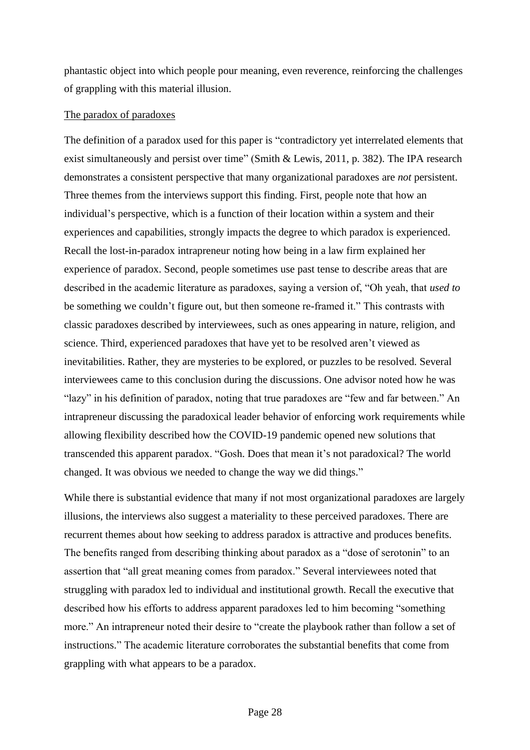phantastic object into which people pour meaning, even reverence, reinforcing the challenges of grappling with this material illusion.

#### The paradox of paradoxes

The definition of a paradox used for this paper is "contradictory yet interrelated elements that exist simultaneously and persist over time" (Smith & Lewis, 2011, p. 382). The IPA research demonstrates a consistent perspective that many organizational paradoxes are *not* persistent. Three themes from the interviews support this finding. First, people note that how an individual's perspective, which is a function of their location within a system and their experiences and capabilities, strongly impacts the degree to which paradox is experienced. Recall the lost-in-paradox intrapreneur noting how being in a law firm explained her experience of paradox. Second, people sometimes use past tense to describe areas that are described in the academic literature as paradoxes, saying a version of, "Oh yeah, that *used to* be something we couldn't figure out, but then someone re-framed it." This contrasts with classic paradoxes described by interviewees, such as ones appearing in nature, religion, and science. Third, experienced paradoxes that have yet to be resolved aren't viewed as inevitabilities. Rather, they are mysteries to be explored, or puzzles to be resolved. Several interviewees came to this conclusion during the discussions. One advisor noted how he was "lazy" in his definition of paradox, noting that true paradoxes are "few and far between." An intrapreneur discussing the paradoxical leader behavior of enforcing work requirements while allowing flexibility described how the COVID-19 pandemic opened new solutions that transcended this apparent paradox. "Gosh. Does that mean it's not paradoxical? The world changed. It was obvious we needed to change the way we did things."

While there is substantial evidence that many if not most organizational paradoxes are largely illusions, the interviews also suggest a materiality to these perceived paradoxes. There are recurrent themes about how seeking to address paradox is attractive and produces benefits. The benefits ranged from describing thinking about paradox as a "dose of serotonin" to an assertion that "all great meaning comes from paradox." Several interviewees noted that struggling with paradox led to individual and institutional growth. Recall the executive that described how his efforts to address apparent paradoxes led to him becoming "something more." An intrapreneur noted their desire to "create the playbook rather than follow a set of instructions." The academic literature corroborates the substantial benefits that come from grappling with what appears to be a paradox.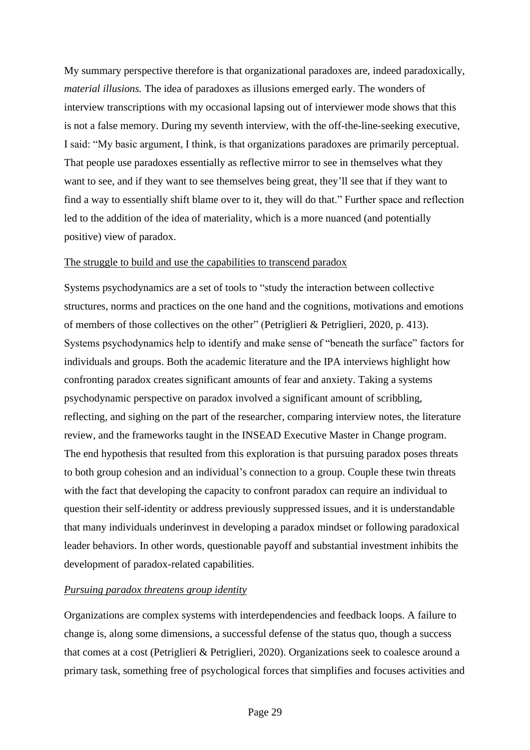My summary perspective therefore is that organizational paradoxes are, indeed paradoxically, *material illusions.* The idea of paradoxes as illusions emerged early. The wonders of interview transcriptions with my occasional lapsing out of interviewer mode shows that this is not a false memory. During my seventh interview, with the off-the-line-seeking executive, I said: "My basic argument, I think, is that organizations paradoxes are primarily perceptual. That people use paradoxes essentially as reflective mirror to see in themselves what they want to see, and if they want to see themselves being great, they'll see that if they want to find a way to essentially shift blame over to it, they will do that." Further space and reflection led to the addition of the idea of materiality, which is a more nuanced (and potentially positive) view of paradox.

#### The struggle to build and use the capabilities to transcend paradox

Systems psychodynamics are a set of tools to "study the interaction between collective structures, norms and practices on the one hand and the cognitions, motivations and emotions of members of those collectives on the other" (Petriglieri & Petriglieri, 2020, p. 413). Systems psychodynamics help to identify and make sense of "beneath the surface" factors for individuals and groups. Both the academic literature and the IPA interviews highlight how confronting paradox creates significant amounts of fear and anxiety. Taking a systems psychodynamic perspective on paradox involved a significant amount of scribbling, reflecting, and sighing on the part of the researcher, comparing interview notes, the literature review, and the frameworks taught in the INSEAD Executive Master in Change program. The end hypothesis that resulted from this exploration is that pursuing paradox poses threats to both group cohesion and an individual's connection to a group. Couple these twin threats with the fact that developing the capacity to confront paradox can require an individual to question their self-identity or address previously suppressed issues, and it is understandable that many individuals underinvest in developing a paradox mindset or following paradoxical leader behaviors. In other words, questionable payoff and substantial investment inhibits the development of paradox-related capabilities.

#### *Pursuing paradox threatens group identity*

Organizations are complex systems with interdependencies and feedback loops. A failure to change is, along some dimensions, a successful defense of the status quo, though a success that comes at a cost (Petriglieri & Petriglieri, 2020). Organizations seek to coalesce around a primary task, something free of psychological forces that simplifies and focuses activities and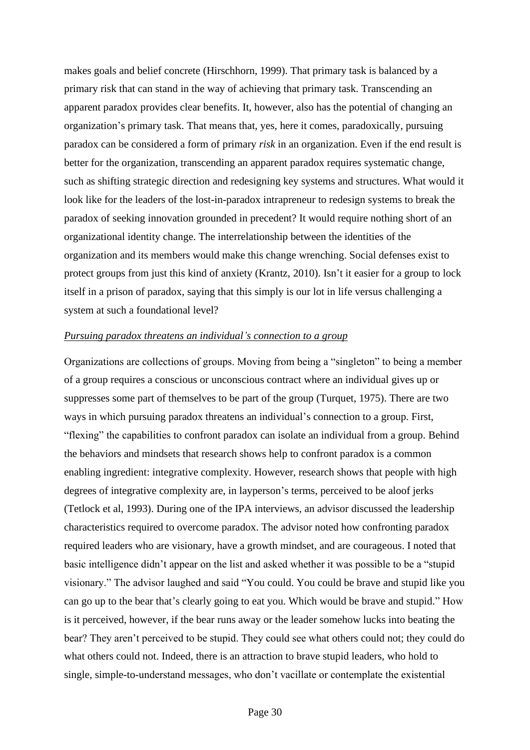makes goals and belief concrete (Hirschhorn, 1999). That primary task is balanced by a primary risk that can stand in the way of achieving that primary task. Transcending an apparent paradox provides clear benefits. It, however, also has the potential of changing an organization's primary task. That means that, yes, here it comes, paradoxically, pursuing paradox can be considered a form of primary *risk* in an organization. Even if the end result is better for the organization, transcending an apparent paradox requires systematic change, such as shifting strategic direction and redesigning key systems and structures. What would it look like for the leaders of the lost-in-paradox intrapreneur to redesign systems to break the paradox of seeking innovation grounded in precedent? It would require nothing short of an organizational identity change. The interrelationship between the identities of the organization and its members would make this change wrenching. Social defenses exist to protect groups from just this kind of anxiety (Krantz, 2010). Isn't it easier for a group to lock itself in a prison of paradox, saying that this simply is our lot in life versus challenging a system at such a foundational level?

#### *Pursuing paradox threatens an individual's connection to a group*

Organizations are collections of groups. Moving from being a "singleton" to being a member of a group requires a conscious or unconscious contract where an individual gives up or suppresses some part of themselves to be part of the group (Turquet, 1975). There are two ways in which pursuing paradox threatens an individual's connection to a group. First, "flexing" the capabilities to confront paradox can isolate an individual from a group. Behind the behaviors and mindsets that research shows help to confront paradox is a common enabling ingredient: integrative complexity. However, research shows that people with high degrees of integrative complexity are, in layperson's terms, perceived to be aloof jerks (Tetlock et al, 1993). During one of the IPA interviews, an advisor discussed the leadership characteristics required to overcome paradox. The advisor noted how confronting paradox required leaders who are visionary, have a growth mindset, and are courageous. I noted that basic intelligence didn't appear on the list and asked whether it was possible to be a "stupid visionary." The advisor laughed and said "You could. You could be brave and stupid like you can go up to the bear that's clearly going to eat you. Which would be brave and stupid." How is it perceived, however, if the bear runs away or the leader somehow lucks into beating the bear? They aren't perceived to be stupid. They could see what others could not; they could do what others could not. Indeed, there is an attraction to brave stupid leaders, who hold to single, simple-to-understand messages, who don't vacillate or contemplate the existential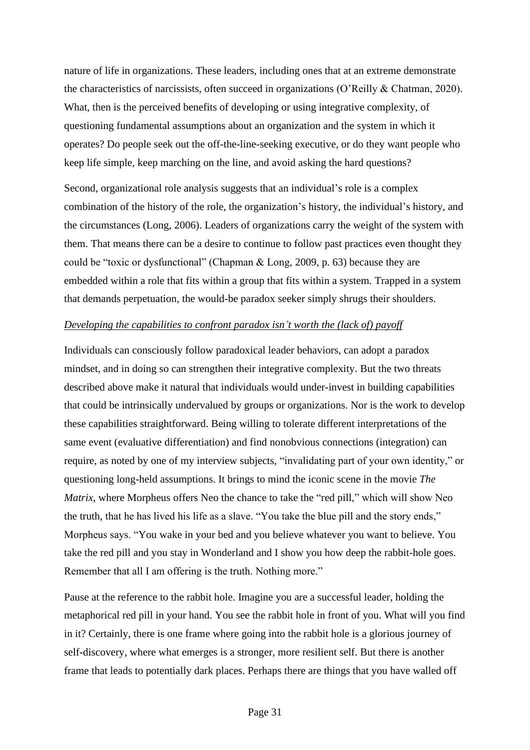nature of life in organizations. These leaders, including ones that at an extreme demonstrate the characteristics of narcissists, often succeed in organizations (O'Reilly & Chatman, 2020). What, then is the perceived benefits of developing or using integrative complexity, of questioning fundamental assumptions about an organization and the system in which it operates? Do people seek out the off-the-line-seeking executive, or do they want people who keep life simple, keep marching on the line, and avoid asking the hard questions?

Second, organizational role analysis suggests that an individual's role is a complex combination of the history of the role, the organization's history, the individual's history, and the circumstances (Long, 2006). Leaders of organizations carry the weight of the system with them. That means there can be a desire to continue to follow past practices even thought they could be "toxic or dysfunctional" (Chapman & Long, 2009, p. 63) because they are embedded within a role that fits within a group that fits within a system. Trapped in a system that demands perpetuation, the would-be paradox seeker simply shrugs their shoulders.

#### *Developing the capabilities to confront paradox isn't worth the (lack of) payoff*

Individuals can consciously follow paradoxical leader behaviors, can adopt a paradox mindset, and in doing so can strengthen their integrative complexity. But the two threats described above make it natural that individuals would under-invest in building capabilities that could be intrinsically undervalued by groups or organizations. Nor is the work to develop these capabilities straightforward. Being willing to tolerate different interpretations of the same event (evaluative differentiation) and find nonobvious connections (integration) can require, as noted by one of my interview subjects, "invalidating part of your own identity," or questioning long-held assumptions. It brings to mind the iconic scene in the movie *The Matrix*, where Morpheus offers Neo the chance to take the "red pill," which will show Neo the truth, that he has lived his life as a slave. "You take the blue pill and the story ends," Morpheus says. "You wake in your bed and you believe whatever you want to believe. You take the red pill and you stay in Wonderland and I show you how deep the rabbit-hole goes. Remember that all I am offering is the truth. Nothing more."

Pause at the reference to the rabbit hole. Imagine you are a successful leader, holding the metaphorical red pill in your hand. You see the rabbit hole in front of you. What will you find in it? Certainly, there is one frame where going into the rabbit hole is a glorious journey of self-discovery, where what emerges is a stronger, more resilient self. But there is another frame that leads to potentially dark places. Perhaps there are things that you have walled off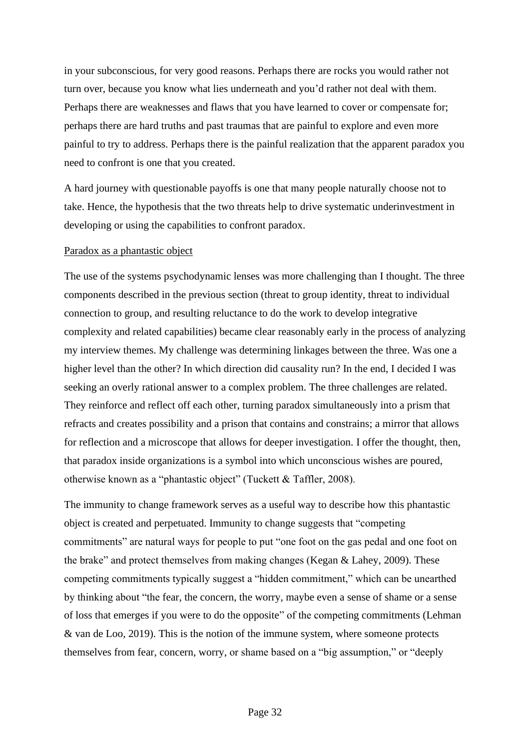in your subconscious, for very good reasons. Perhaps there are rocks you would rather not turn over, because you know what lies underneath and you'd rather not deal with them. Perhaps there are weaknesses and flaws that you have learned to cover or compensate for; perhaps there are hard truths and past traumas that are painful to explore and even more painful to try to address. Perhaps there is the painful realization that the apparent paradox you need to confront is one that you created.

A hard journey with questionable payoffs is one that many people naturally choose not to take. Hence, the hypothesis that the two threats help to drive systematic underinvestment in developing or using the capabilities to confront paradox.

#### Paradox as a phantastic object

The use of the systems psychodynamic lenses was more challenging than I thought. The three components described in the previous section (threat to group identity, threat to individual connection to group, and resulting reluctance to do the work to develop integrative complexity and related capabilities) became clear reasonably early in the process of analyzing my interview themes. My challenge was determining linkages between the three. Was one a higher level than the other? In which direction did causality run? In the end, I decided I was seeking an overly rational answer to a complex problem. The three challenges are related. They reinforce and reflect off each other, turning paradox simultaneously into a prism that refracts and creates possibility and a prison that contains and constrains; a mirror that allows for reflection and a microscope that allows for deeper investigation. I offer the thought, then, that paradox inside organizations is a symbol into which unconscious wishes are poured, otherwise known as a "phantastic object" (Tuckett & Taffler, 2008).

The immunity to change framework serves as a useful way to describe how this phantastic object is created and perpetuated. Immunity to change suggests that "competing commitments" are natural ways for people to put "one foot on the gas pedal and one foot on the brake" and protect themselves from making changes (Kegan & Lahey, 2009). These competing commitments typically suggest a "hidden commitment," which can be unearthed by thinking about "the fear, the concern, the worry, maybe even a sense of shame or a sense of loss that emerges if you were to do the opposite" of the competing commitments (Lehman & van de Loo, 2019). This is the notion of the immune system, where someone protects themselves from fear, concern, worry, or shame based on a "big assumption," or "deeply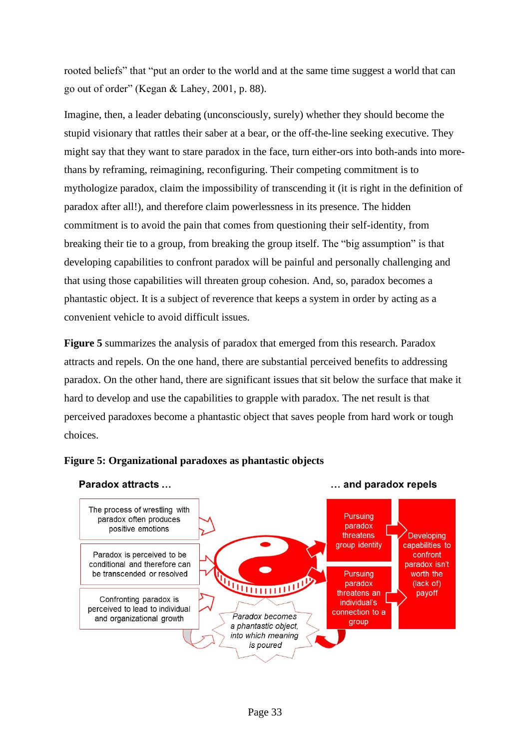rooted beliefs" that "put an order to the world and at the same time suggest a world that can go out of order" (Kegan & Lahey, 2001, p. 88).

Imagine, then, a leader debating (unconsciously, surely) whether they should become the stupid visionary that rattles their saber at a bear, or the off-the-line seeking executive. They might say that they want to stare paradox in the face, turn either-ors into both-ands into morethans by reframing, reimagining, reconfiguring. Their competing commitment is to mythologize paradox, claim the impossibility of transcending it (it is right in the definition of paradox after all!), and therefore claim powerlessness in its presence. The hidden commitment is to avoid the pain that comes from questioning their self-identity, from breaking their tie to a group, from breaking the group itself. The "big assumption" is that developing capabilities to confront paradox will be painful and personally challenging and that using those capabilities will threaten group cohesion. And, so, paradox becomes a phantastic object. It is a subject of reverence that keeps a system in order by acting as a convenient vehicle to avoid difficult issues.

**Figure 5** summarizes the analysis of paradox that emerged from this research. Paradox attracts and repels. On the one hand, there are substantial perceived benefits to addressing paradox. On the other hand, there are significant issues that sit below the surface that make it hard to develop and use the capabilities to grapple with paradox. The net result is that perceived paradoxes become a phantastic object that saves people from hard work or tough choices.



#### **Figure 5: Organizational paradoxes as phantastic objects**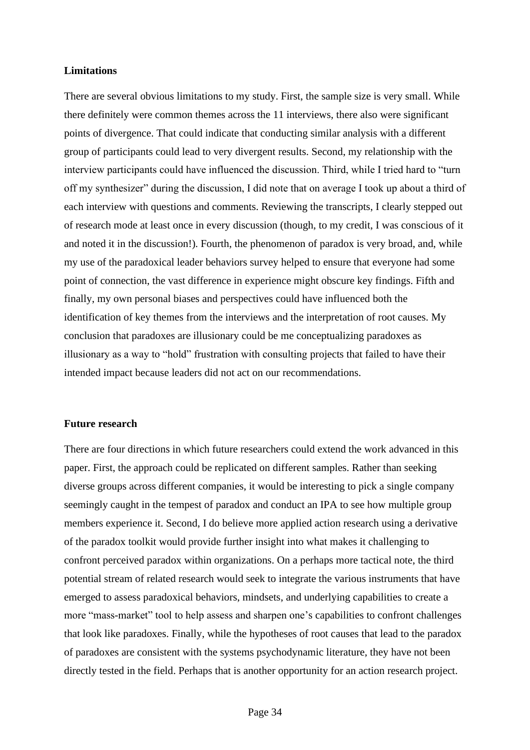#### **Limitations**

There are several obvious limitations to my study. First, the sample size is very small. While there definitely were common themes across the 11 interviews, there also were significant points of divergence. That could indicate that conducting similar analysis with a different group of participants could lead to very divergent results. Second, my relationship with the interview participants could have influenced the discussion. Third, while I tried hard to "turn off my synthesizer" during the discussion, I did note that on average I took up about a third of each interview with questions and comments. Reviewing the transcripts, I clearly stepped out of research mode at least once in every discussion (though, to my credit, I was conscious of it and noted it in the discussion!). Fourth, the phenomenon of paradox is very broad, and, while my use of the paradoxical leader behaviors survey helped to ensure that everyone had some point of connection, the vast difference in experience might obscure key findings. Fifth and finally, my own personal biases and perspectives could have influenced both the identification of key themes from the interviews and the interpretation of root causes. My conclusion that paradoxes are illusionary could be me conceptualizing paradoxes as illusionary as a way to "hold" frustration with consulting projects that failed to have their intended impact because leaders did not act on our recommendations.

#### **Future research**

There are four directions in which future researchers could extend the work advanced in this paper. First, the approach could be replicated on different samples. Rather than seeking diverse groups across different companies, it would be interesting to pick a single company seemingly caught in the tempest of paradox and conduct an IPA to see how multiple group members experience it. Second, I do believe more applied action research using a derivative of the paradox toolkit would provide further insight into what makes it challenging to confront perceived paradox within organizations. On a perhaps more tactical note, the third potential stream of related research would seek to integrate the various instruments that have emerged to assess paradoxical behaviors, mindsets, and underlying capabilities to create a more "mass-market" tool to help assess and sharpen one's capabilities to confront challenges that look like paradoxes. Finally, while the hypotheses of root causes that lead to the paradox of paradoxes are consistent with the systems psychodynamic literature, they have not been directly tested in the field. Perhaps that is another opportunity for an action research project.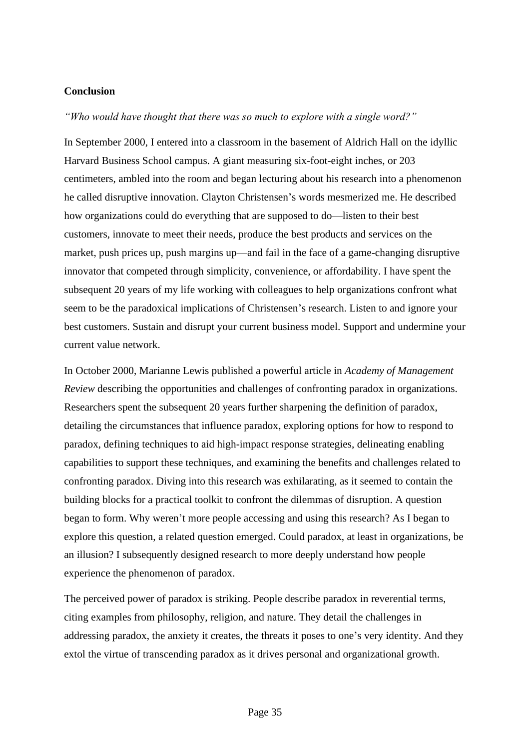#### **Conclusion**

*"Who would have thought that there was so much to explore with a single word?"* 

In September 2000, I entered into a classroom in the basement of Aldrich Hall on the idyllic Harvard Business School campus. A giant measuring six-foot-eight inches, or 203 centimeters, ambled into the room and began lecturing about his research into a phenomenon he called disruptive innovation. Clayton Christensen's words mesmerized me. He described how organizations could do everything that are supposed to do—listen to their best customers, innovate to meet their needs, produce the best products and services on the market, push prices up, push margins up—and fail in the face of a game-changing disruptive innovator that competed through simplicity, convenience, or affordability. I have spent the subsequent 20 years of my life working with colleagues to help organizations confront what seem to be the paradoxical implications of Christensen's research. Listen to and ignore your best customers. Sustain and disrupt your current business model. Support and undermine your current value network.

In October 2000, Marianne Lewis published a powerful article in *Academy of Management Review* describing the opportunities and challenges of confronting paradox in organizations. Researchers spent the subsequent 20 years further sharpening the definition of paradox, detailing the circumstances that influence paradox, exploring options for how to respond to paradox, defining techniques to aid high-impact response strategies, delineating enabling capabilities to support these techniques, and examining the benefits and challenges related to confronting paradox. Diving into this research was exhilarating, as it seemed to contain the building blocks for a practical toolkit to confront the dilemmas of disruption. A question began to form. Why weren't more people accessing and using this research? As I began to explore this question, a related question emerged. Could paradox, at least in organizations, be an illusion? I subsequently designed research to more deeply understand how people experience the phenomenon of paradox.

The perceived power of paradox is striking. People describe paradox in reverential terms, citing examples from philosophy, religion, and nature. They detail the challenges in addressing paradox, the anxiety it creates, the threats it poses to one's very identity. And they extol the virtue of transcending paradox as it drives personal and organizational growth.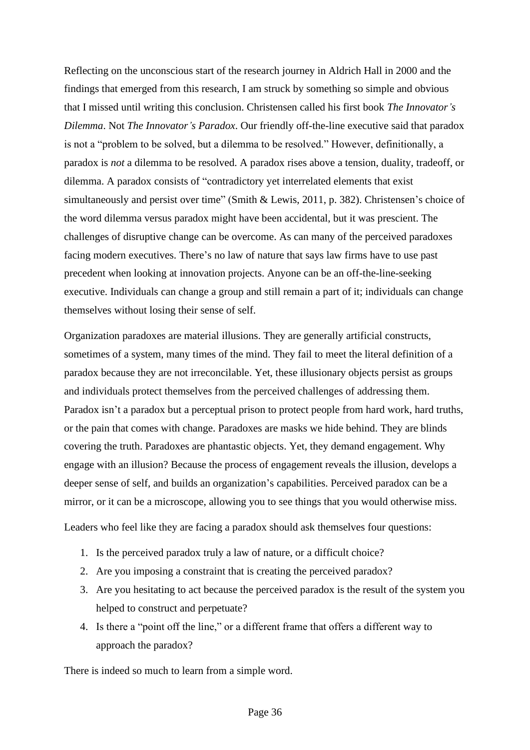Reflecting on the unconscious start of the research journey in Aldrich Hall in 2000 and the findings that emerged from this research, I am struck by something so simple and obvious that I missed until writing this conclusion. Christensen called his first book *The Innovator's Dilemma*. Not *The Innovator's Paradox*. Our friendly off-the-line executive said that paradox is not a "problem to be solved, but a dilemma to be resolved." However, definitionally, a paradox is *not* a dilemma to be resolved. A paradox rises above a tension, duality, tradeoff, or dilemma. A paradox consists of "contradictory yet interrelated elements that exist simultaneously and persist over time" (Smith & Lewis, 2011, p. 382). Christensen's choice of the word dilemma versus paradox might have been accidental, but it was prescient. The challenges of disruptive change can be overcome. As can many of the perceived paradoxes facing modern executives. There's no law of nature that says law firms have to use past precedent when looking at innovation projects. Anyone can be an off-the-line-seeking executive. Individuals can change a group and still remain a part of it; individuals can change themselves without losing their sense of self.

Organization paradoxes are material illusions. They are generally artificial constructs, sometimes of a system, many times of the mind. They fail to meet the literal definition of a paradox because they are not irreconcilable. Yet, these illusionary objects persist as groups and individuals protect themselves from the perceived challenges of addressing them. Paradox isn't a paradox but a perceptual prison to protect people from hard work, hard truths, or the pain that comes with change. Paradoxes are masks we hide behind. They are blinds covering the truth. Paradoxes are phantastic objects. Yet, they demand engagement. Why engage with an illusion? Because the process of engagement reveals the illusion, develops a deeper sense of self, and builds an organization's capabilities. Perceived paradox can be a mirror, or it can be a microscope, allowing you to see things that you would otherwise miss.

Leaders who feel like they are facing a paradox should ask themselves four questions:

- 1. Is the perceived paradox truly a law of nature, or a difficult choice?
- 2. Are you imposing a constraint that is creating the perceived paradox?
- 3. Are you hesitating to act because the perceived paradox is the result of the system you helped to construct and perpetuate?
- 4. Is there a "point off the line," or a different frame that offers a different way to approach the paradox?

There is indeed so much to learn from a simple word.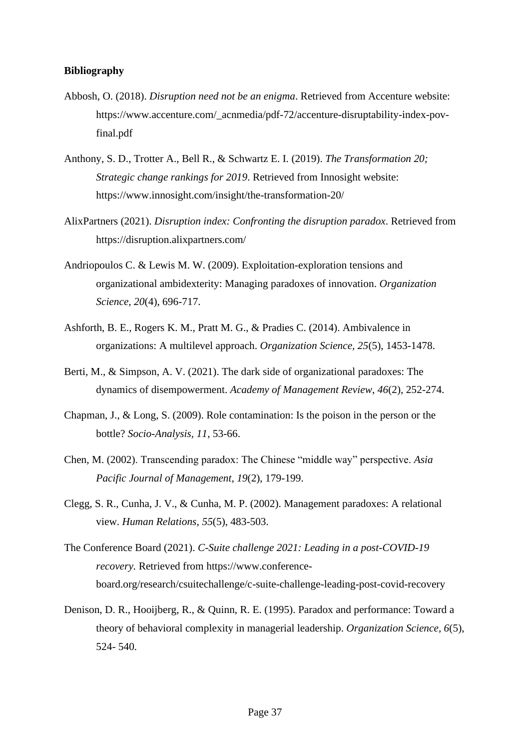#### **Bibliography**

- Abbosh, O. (2018). *Disruption need not be an enigma*. Retrieved from Accenture website: https://www.accenture.com/\_acnmedia/pdf-72/accenture-disruptability-index-povfinal.pdf
- Anthony, S. D., Trotter A., Bell R., & Schwartz E. I. (2019). *The Transformation 20; Strategic change rankings for 2019*. Retrieved from Innosight website: https://www.innosight.com/insight/the-transformation-20/
- AlixPartners (2021). *Disruption index: Confronting the disruption paradox*. Retrieved from https://disruption.alixpartners.com/
- Andriopoulos C. & Lewis M. W. (2009). Exploitation-exploration tensions and organizational ambidexterity: Managing paradoxes of innovation. *Organization Science, 20*(4), 696-717.
- Ashforth, B. E., Rogers K. M., Pratt M. G., & Pradies C. (2014). Ambivalence in organizations: A multilevel approach. *Organization Science, 25*(5), 1453-1478.
- Berti, M., & Simpson, A. V. (2021). The dark side of organizational paradoxes: The dynamics of disempowerment. *Academy of Management Review*, *46*(2), 252-274.
- Chapman, J., & Long, S. (2009). Role contamination: Is the poison in the person or the bottle? *Socio-Analysis, 11*, 53-66.
- Chen, M. (2002). Transcending paradox: The Chinese "middle way" perspective. *Asia Pacific Journal of Management*, *19*(2), 179-199.
- Clegg, S. R., Cunha, J. V., & Cunha, M. P. (2002). Management paradoxes: A relational view. *Human Relations*, *55*(5), 483-503.
- The Conference Board (2021). *C-Suite challenge 2021: Leading in a post-COVID-19 recovery.* Retrieved from https://www.conferenceboard.org/research/csuitechallenge/c-suite-challenge-leading-post-covid-recovery
- Denison, D. R., Hooijberg, R., & Quinn, R. E. (1995). Paradox and performance: Toward a theory of behavioral complexity in managerial leadership. *Organization Science, 6*(5), 524- 540.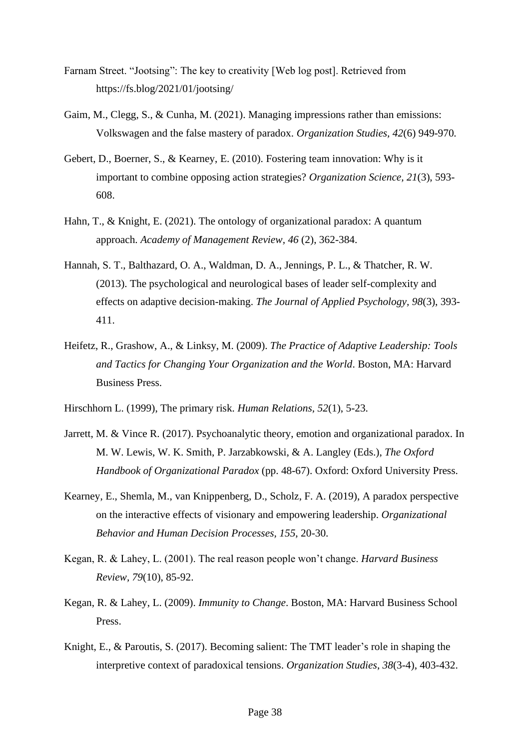- Farnam Street. "Jootsing": The key to creativity [Web log post]. Retrieved from https://fs.blog/2021/01/jootsing/
- Gaim, M., Clegg, S., & Cunha, M. (2021). Managing impressions rather than emissions: Volkswagen and the false mastery of paradox. *Organization Studies, 42*(6) 949-970*.*
- Gebert, D., Boerner, S., & Kearney, E. (2010). Fostering team innovation: Why is it important to combine opposing action strategies? *Organization Science, 21*(3), 593- 608.
- Hahn, T., & Knight, E. (2021). The ontology of organizational paradox: A quantum approach. *Academy of Management Review, 46* (2), 362-384.
- Hannah, S. T., Balthazard, O. A., Waldman, D. A., Jennings, P. L., & Thatcher, R. W. (2013). The psychological and neurological bases of leader self-complexity and effects on adaptive decision-making. *The Journal of Applied Psychology, 98*(3), 393- 411.
- Heifetz, R., Grashow, A., & Linksy, M. (2009). *The Practice of Adaptive Leadership: Tools and Tactics for Changing Your Organization and the World*. Boston, MA: Harvard Business Press.
- Hirschhorn L. (1999), The primary risk. *Human Relations, 52*(1), 5-23.
- Jarrett, M. & Vince R. (2017). Psychoanalytic theory, emotion and organizational paradox. In M. W. Lewis, W. K. Smith, P. Jarzabkowski, & A. Langley (Eds.), *The Oxford Handbook of Organizational Paradox* (pp. 48-67). Oxford: Oxford University Press.
- Kearney, E., Shemla, M., van Knippenberg, D., Scholz, F. A. (2019), A paradox perspective on the interactive effects of visionary and empowering leadership. *Organizational Behavior and Human Decision Processes, 155*, 20-30.
- Kegan, R. & Lahey, L. (2001). The real reason people won't change. *Harvard Business Review, 79*(10), 85-92.
- Kegan, R. & Lahey, L. (2009). *Immunity to Change*. Boston, MA: Harvard Business School Press.
- Knight, E., & Paroutis, S. (2017). Becoming salient: The TMT leader's role in shaping the interpretive context of paradoxical tensions. *Organization Studies*, *38*(3-4), 403-432.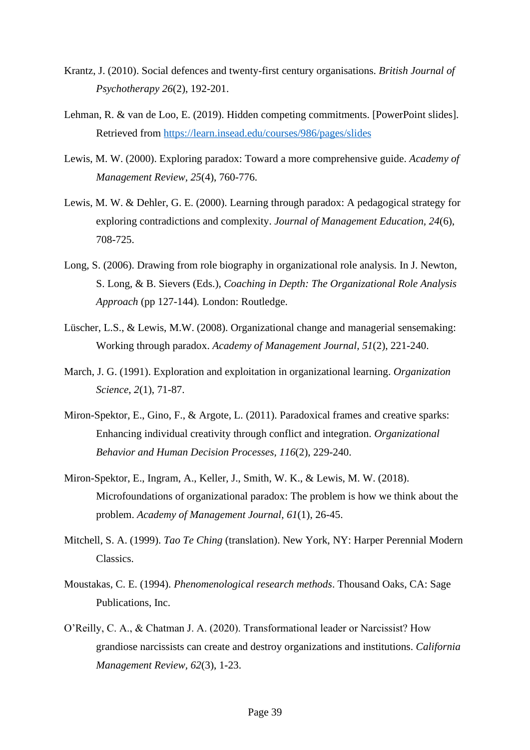- Krantz, J. (2010). Social defences and twenty-first century organisations. *British Journal of Psychotherapy 26*(2), 192-201.
- Lehman, R. & van de Loo, E. (2019). Hidden competing commitments. [PowerPoint slides]. Retrieved from<https://learn.insead.edu/courses/986/pages/slides>
- Lewis, M. W. (2000). Exploring paradox: Toward a more comprehensive guide. *Academy of Management Review, 25*(4), 760-776.
- Lewis, M. W. & Dehler, G. E. (2000). Learning through paradox: A pedagogical strategy for exploring contradictions and complexity. *Journal of Management Education, 24*(6), 708-725.
- Long, S. (2006). Drawing from role biography in organizational role analysis*.* In J. Newton, S. Long, & B. Sievers (Eds.), *Coaching in Depth: The Organizational Role Analysis Approach* (pp 127-144)*.* London: Routledge.
- Lüscher, L.S., & Lewis, M.W. (2008). Organizational change and managerial sensemaking: Working through paradox. *Academy of Management Journal, 51*(2), 221-240.
- March, J. G. (1991). Exploration and exploitation in organizational learning. *Organization Science*, *2*(1), 71-87.
- Miron-Spektor, E., Gino, F., & Argote, L. (2011). Paradoxical frames and creative sparks: Enhancing individual creativity through conflict and integration. *Organizational Behavior and Human Decision Processes, 116*(2), 229-240.
- Miron-Spektor, E., Ingram, A., Keller, J., Smith, W. K., & Lewis, M. W. (2018). Microfoundations of organizational paradox: The problem is how we think about the problem. *Academy of Management Journal*, *61*(1), 26-45.
- Mitchell, S. A. (1999). *Tao Te Ching* (translation). New York, NY: Harper Perennial Modern Classics.
- Moustakas, C. E. (1994). *Phenomenological research methods*. Thousand Oaks, CA: Sage Publications, Inc.
- O'Reilly, C. A., & Chatman J. A. (2020). Transformational leader or Narcissist? How grandiose narcissists can create and destroy organizations and institutions. *California Management Review, 62*(3), 1-23.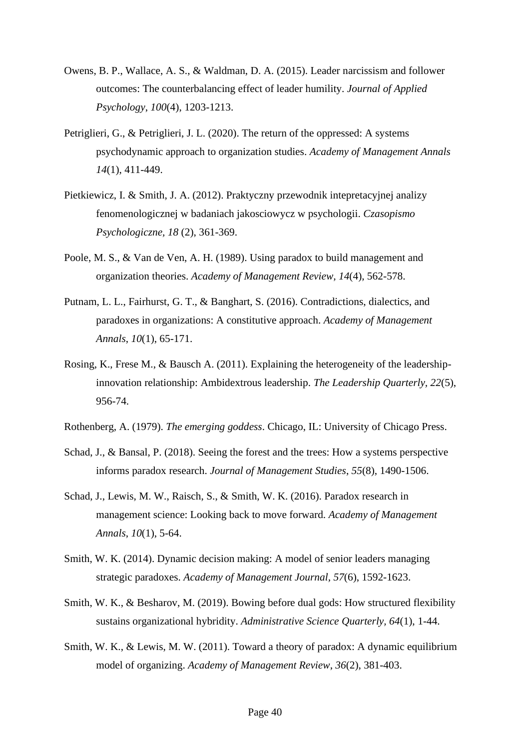- Owens, B. P., Wallace, A. S., & Waldman, D. A. (2015). Leader narcissism and follower outcomes: The counterbalancing effect of leader humility. *Journal of Applied Psychology*, *100*(4), 1203-1213.
- Petriglieri, G., & Petriglieri, J. L. (2020). The return of the oppressed: A systems psychodynamic approach to organization studies. *Academy of Management Annals 14*(1), 411-449.
- Pietkiewicz, I. & Smith, J. A. (2012). Praktyczny przewodnik intepretacyjnej analizy fenomenologicznej w badaniach jakosciowycz w psychologii. *Czasopismo Psychologiczne, 18* (2), 361-369.
- Poole, M. S., & Van de Ven, A. H. (1989). Using paradox to build management and organization theories. *Academy of Management Review, 14*(4), 562-578.
- Putnam, L. L., Fairhurst, G. T., & Banghart, S. (2016). Contradictions, dialectics, and paradoxes in organizations: A constitutive approach. *Academy of Management Annals*, *10*(1), 65-171.
- Rosing, K., Frese M., & Bausch A. (2011). Explaining the heterogeneity of the leadershipinnovation relationship: Ambidextrous leadership. *The Leadership Quarterly, 22*(5), 956-74.
- Rothenberg, A. (1979). *The emerging goddess*. Chicago, IL: University of Chicago Press.
- Schad, J., & Bansal, P. (2018). Seeing the forest and the trees: How a systems perspective informs paradox research. *Journal of Management Studies*, *55*(8), 1490-1506.
- Schad, J., Lewis, M. W., Raisch, S., & Smith, W. K. (2016). Paradox research in management science: Looking back to move forward. *Academy of Management Annals*, *10*(1), 5-64.
- Smith, W. K. (2014). Dynamic decision making: A model of senior leaders managing strategic paradoxes. *Academy of Management Journal, 57*(6), 1592-1623.
- Smith, W. K., & Besharov, M. (2019). Bowing before dual gods: How structured flexibility sustains organizational hybridity. *Administrative Science Quarterly, 64*(1), 1-44.
- Smith, W. K., & Lewis, M. W. (2011). Toward a theory of paradox: A dynamic equilibrium model of organizing. *Academy of Management Review*, *36*(2), 381-403.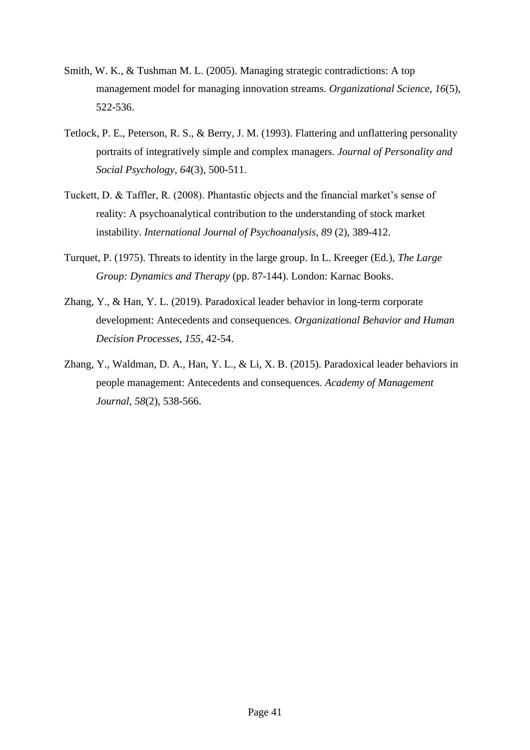- Smith, W. K., & Tushman M. L. (2005). Managing strategic contradictions: A top management model for managing innovation streams. *Organizational Science*, *16*(5), 522-536.
- Tetlock, P. E., Peterson, R. S., & Berry, J. M. (1993). Flattering and unflattering personality portraits of integratively simple and complex managers. *Journal of Personality and Social Psychology*, *64*(3), 500-511.
- Tuckett, D. & Taffler, R. (2008). Phantastic objects and the financial market's sense of reality: A psychoanalytical contribution to the understanding of stock market instability. *International Journal of Psychoanalysis, 89* (2), 389-412.
- Turquet, P. (1975). Threats to identity in the large group. In L. Kreeger (Ed.), *The Large Group: Dynamics and Therapy* (pp. 87-144). London: Karnac Books.
- Zhang, Y., & Han, Y. L. (2019). Paradoxical leader behavior in long-term corporate development: Antecedents and consequences. *Organizational Behavior and Human Decision Processes, 155*, 42-54.
- Zhang, Y., Waldman, D. A., Han, Y. L., & Li, X. B. (2015). Paradoxical leader behaviors in people management: Antecedents and consequences. *Academy of Management Journal*, *58*(2), 538-566.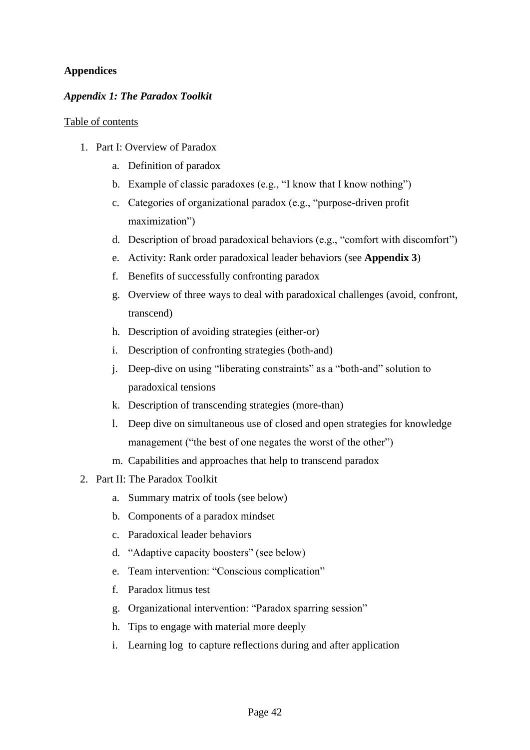## **Appendices**

## *Appendix 1: The Paradox Toolkit*

#### Table of contents

- 1. Part I: Overview of Paradox
	- a. Definition of paradox
	- b. Example of classic paradoxes (e.g., "I know that I know nothing")
	- c. Categories of organizational paradox (e.g., "purpose-driven profit maximization")
	- d. Description of broad paradoxical behaviors (e.g., "comfort with discomfort")
	- e. Activity: Rank order paradoxical leader behaviors (see **Appendix 3**)
	- f. Benefits of successfully confronting paradox
	- g. Overview of three ways to deal with paradoxical challenges (avoid, confront, transcend)
	- h. Description of avoiding strategies (either-or)
	- i. Description of confronting strategies (both-and)
	- j. Deep-dive on using "liberating constraints" as a "both-and" solution to paradoxical tensions
	- k. Description of transcending strategies (more-than)
	- l. Deep dive on simultaneous use of closed and open strategies for knowledge management ("the best of one negates the worst of the other")
	- m. Capabilities and approaches that help to transcend paradox
- 2. Part II: The Paradox Toolkit
	- a. Summary matrix of tools (see below)
	- b. Components of a paradox mindset
	- c. Paradoxical leader behaviors
	- d. "Adaptive capacity boosters" (see below)
	- e. Team intervention: "Conscious complication"
	- f. Paradox litmus test
	- g. Organizational intervention: "Paradox sparring session"
	- h. Tips to engage with material more deeply
	- i. Learning log to capture reflections during and after application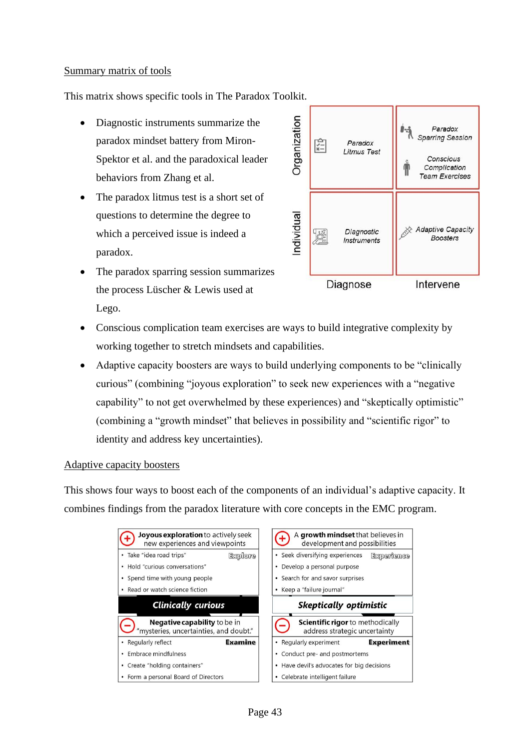#### Summary matrix of tools

This matrix shows specific tools in The Paradox Toolkit.

- Diagnostic instruments summarize the paradox mindset battery from Miron-Spektor et al. and the paradoxical leader behaviors from Zhang et al.
- The paradox litmus test is a short set of questions to determine the degree to which a perceived issue is indeed a paradox.
- The paradox sparring session summarizes the process Lüscher & Lewis used at Lego.



- Conscious complication team exercises are ways to build integrative complexity by working together to stretch mindsets and capabilities.
- Adaptive capacity boosters are ways to build underlying components to be "clinically" curious" (combining "joyous exploration" to seek new experiences with a "negative capability" to not get overwhelmed by these experiences) and "skeptically optimistic" (combining a "growth mindset" that believes in possibility and "scientific rigor" to identity and address key uncertainties).

## Adaptive capacity boosters

This shows four ways to boost each of the components of an individual's adaptive capacity. It combines findings from the paradox literature with core concepts in the EMC program.

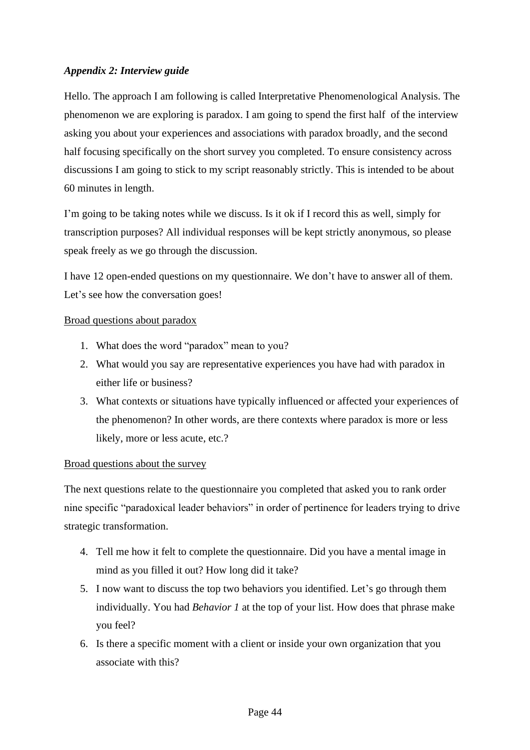## *Appendix 2: Interview guide*

Hello. The approach I am following is called Interpretative Phenomenological Analysis. The phenomenon we are exploring is paradox. I am going to spend the first half of the interview asking you about your experiences and associations with paradox broadly, and the second half focusing specifically on the short survey you completed. To ensure consistency across discussions I am going to stick to my script reasonably strictly. This is intended to be about 60 minutes in length.

I'm going to be taking notes while we discuss. Is it ok if I record this as well, simply for transcription purposes? All individual responses will be kept strictly anonymous, so please speak freely as we go through the discussion.

I have 12 open-ended questions on my questionnaire. We don't have to answer all of them. Let's see how the conversation goes!

## Broad questions about paradox

- 1. What does the word "paradox" mean to you?
- 2. What would you say are representative experiences you have had with paradox in either life or business?
- 3. What contexts or situations have typically influenced or affected your experiences of the phenomenon? In other words, are there contexts where paradox is more or less likely, more or less acute, etc.?

## Broad questions about the survey

The next questions relate to the questionnaire you completed that asked you to rank order nine specific "paradoxical leader behaviors" in order of pertinence for leaders trying to drive strategic transformation.

- 4. Tell me how it felt to complete the questionnaire. Did you have a mental image in mind as you filled it out? How long did it take?
- 5. I now want to discuss the top two behaviors you identified. Let's go through them individually. You had *Behavior 1* at the top of your list. How does that phrase make you feel?
- 6. Is there a specific moment with a client or inside your own organization that you associate with this?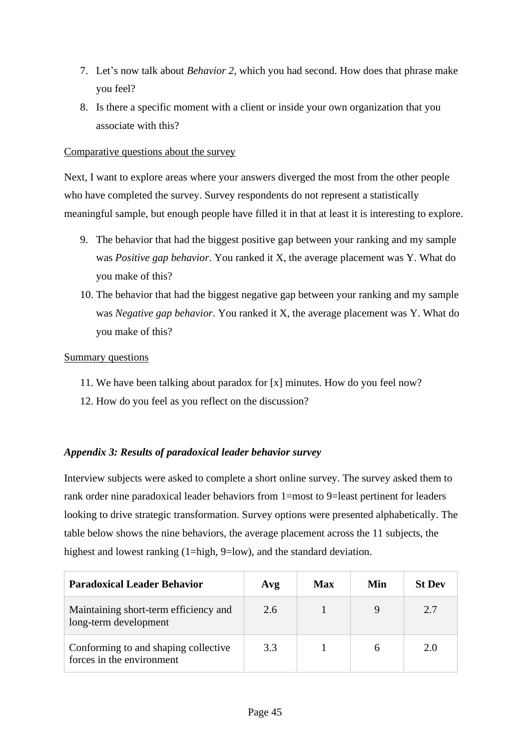- 7. Let's now talk about *Behavior 2,* which you had second. How does that phrase make you feel?
- 8. Is there a specific moment with a client or inside your own organization that you associate with this?

### Comparative questions about the survey

Next, I want to explore areas where your answers diverged the most from the other people who have completed the survey. Survey respondents do not represent a statistically meaningful sample, but enough people have filled it in that at least it is interesting to explore.

- 9. The behavior that had the biggest positive gap between your ranking and my sample was *Positive gap behavior*. You ranked it X, the average placement was Y. What do you make of this?
- 10. The behavior that had the biggest negative gap between your ranking and my sample was *Negative gap behavior*. You ranked it X, the average placement was Y. What do you make of this?

#### Summary questions

- 11. We have been talking about paradox for [x] minutes. How do you feel now?
- 12. How do you feel as you reflect on the discussion?

## *Appendix 3: Results of paradoxical leader behavior survey*

Interview subjects were asked to complete a short online survey. The survey asked them to rank order nine paradoxical leader behaviors from 1=most to 9=least pertinent for leaders looking to drive strategic transformation. Survey options were presented alphabetically. The table below shows the nine behaviors, the average placement across the 11 subjects, the highest and lowest ranking (1=high, 9=low), and the standard deviation.

| <b>Paradoxical Leader Behavior</b>                                | Avg | <b>Max</b> | Min | <b>St Dev</b> |
|-------------------------------------------------------------------|-----|------------|-----|---------------|
| Maintaining short-term efficiency and<br>long-term development    | 2.6 |            |     | 2.7           |
| Conforming to and shaping collective<br>forces in the environment | 3.3 |            |     | 2.0           |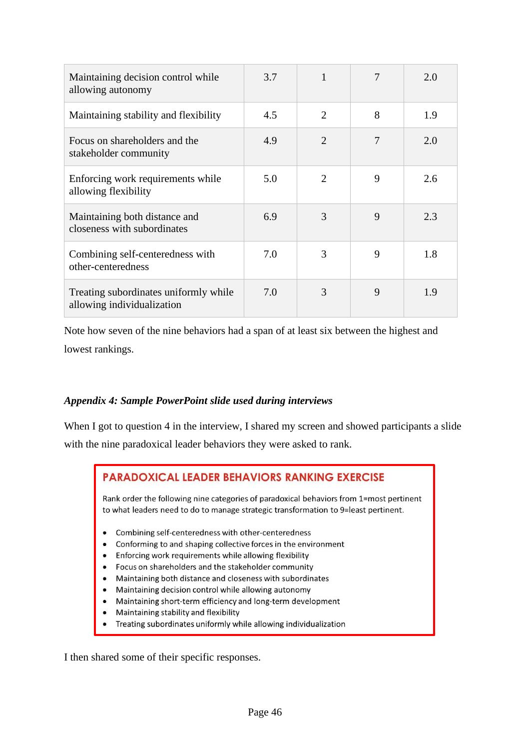| Maintaining decision control while<br>allowing autonomy             | 3.7 |                             |   | 2.0 |
|---------------------------------------------------------------------|-----|-----------------------------|---|-----|
| Maintaining stability and flexibility                               | 4.5 | $\overline{2}$              | 8 | 1.9 |
| Focus on shareholders and the<br>stakeholder community              | 4.9 | $\mathcal{D}_{\mathcal{L}}$ | 7 | 2.0 |
| Enforcing work requirements while<br>allowing flexibility           | 5.0 | $\mathcal{D}_{\mathcal{L}}$ | 9 | 2.6 |
| Maintaining both distance and<br>closeness with subordinates        | 6.9 | 3                           | 9 | 2.3 |
| Combining self-centeredness with<br>other-centeredness              | 7.0 | 3                           | 9 | 1.8 |
| Treating subordinates uniformly while<br>allowing individualization | 7.0 | 3                           | 9 | 1.9 |

Note how seven of the nine behaviors had a span of at least six between the highest and lowest rankings.

## *Appendix 4: Sample PowerPoint slide used during interviews*

When I got to question 4 in the interview, I shared my screen and showed participants a slide with the nine paradoxical leader behaviors they were asked to rank.

## **PARADOXICAL LEADER BEHAVIORS RANKING EXERCISE**

Rank order the following nine categories of paradoxical behaviors from 1=most pertinent to what leaders need to do to manage strategic transformation to 9=least pertinent.

- Combining self-centeredness with other-centeredness
- Conforming to and shaping collective forces in the environment
- Enforcing work requirements while allowing flexibility
- Focus on shareholders and the stakeholder community
- Maintaining both distance and closeness with subordinates
- Maintaining decision control while allowing autonomy
- $\bullet$ Maintaining short-term efficiency and long-term development
- Maintaining stability and flexibility  $\bullet$
- Treating subordinates uniformly while allowing individualization  $\bullet$

I then shared some of their specific responses.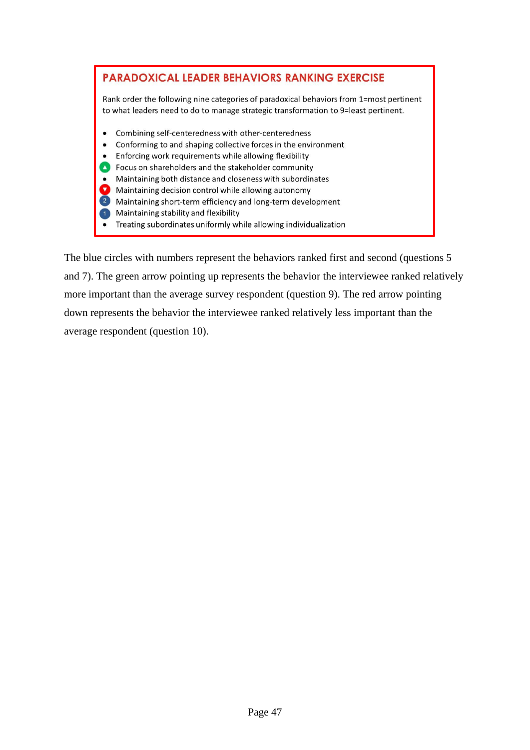

The blue circles with numbers represent the behaviors ranked first and second (questions 5 and 7). The green arrow pointing up represents the behavior the interviewee ranked relatively more important than the average survey respondent (question 9). The red arrow pointing down represents the behavior the interviewee ranked relatively less important than the average respondent (question 10).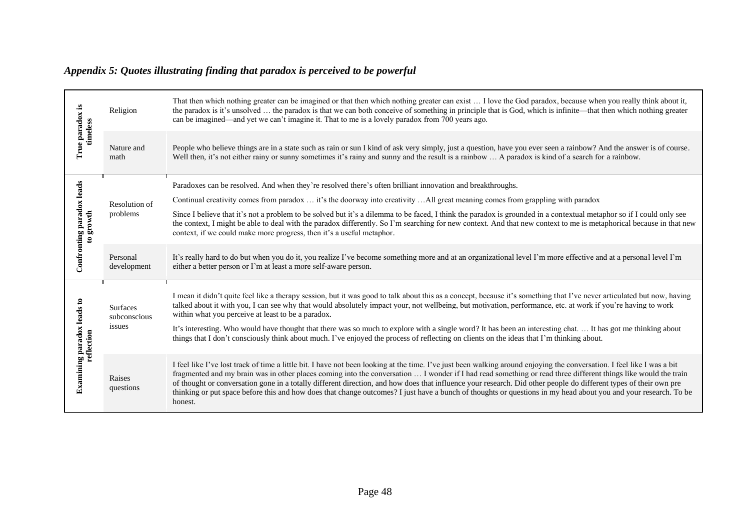## *Appendix 5: Quotes illustrating finding that paradox is perceived to be powerful*

|                                                 | Religion                                  | That then which nothing greater can be imagined or that then which nothing greater can exist  I love the God paradox, because when you really think about it,<br>the paradox is it's unsolved  the paradox is that we can both conceive of something in principle that is God, which is infinite—that then which nothing greater<br>can be imagined—and yet we can't imagine it. That to me is a lovely paradox from 700 years ago.                                                                                                                                                                                                                                                                         |  |
|-------------------------------------------------|-------------------------------------------|-------------------------------------------------------------------------------------------------------------------------------------------------------------------------------------------------------------------------------------------------------------------------------------------------------------------------------------------------------------------------------------------------------------------------------------------------------------------------------------------------------------------------------------------------------------------------------------------------------------------------------------------------------------------------------------------------------------|--|
| True paradox is<br>timeless                     | Nature and<br>math                        | People who believe things are in a state such as rain or sun I kind of ask very simply, just a question, have you ever seen a rainbow? And the answer is of course.<br>Well then, it's not either rainy or sunny sometimes it's rainy and sunny and the result is a rainbow  A paradox is kind of a search for a rainbow.                                                                                                                                                                                                                                                                                                                                                                                   |  |
| Confronting paradox leads<br>to growth          | Resolution of<br>problems                 | Paradoxes can be resolved. And when they're resolved there's often brilliant innovation and breakthroughs.<br>Continual creativity comes from paradox  it's the doorway into creativity All great meaning comes from grappling with paradox<br>Since I believe that it's not a problem to be solved but it's a dilemma to be faced, I think the paradox is grounded in a contextual metaphor so if I could only see<br>the context, I might be able to deal with the paradox differently. So I'm searching for new context. And that new context to me is metaphorical because in that new<br>context, if we could make more progress, then it's a useful metaphor.                                         |  |
|                                                 | Personal<br>development                   | It's really hard to do but when you do it, you realize I've become something more and at an organizational level I'm more effective and at a personal level I'm<br>either a better person or I'm at least a more self-aware person.                                                                                                                                                                                                                                                                                                                                                                                                                                                                         |  |
| <b>Examining paradox leads to</b><br>reflection | <b>Surfaces</b><br>subconscious<br>issues | I mean it didn't quite feel like a therapy session, but it was good to talk about this as a concept, because it's something that I've never articulated but now, having<br>talked about it with you, I can see why that would absolutely impact your, not wellbeing, but motivation, performance, etc. at work if you're having to work<br>within what you perceive at least to be a paradox.<br>It's interesting. Who would have thought that there was so much to explore with a single word? It has been an interesting chat.  It has got me thinking about<br>things that I don't consciously think about much. I've enjoyed the process of reflecting on clients on the ideas that I'm thinking about. |  |
|                                                 | Raises<br>questions                       | I feel like I've lost track of time a little bit. I have not been looking at the time. I've just been walking around enjoying the conversation. I feel like I was a bit<br>fragmented and my brain was in other places coming into the conversation  I wonder if I had read something or read three different things like would the train<br>of thought or conversation gone in a totally different direction, and how does that influence your research. Did other people do different types of their own pre<br>thinking or put space before this and how does that change outcomes? I just have a bunch of thoughts or questions in my head about you and your research. To be<br>honest.                |  |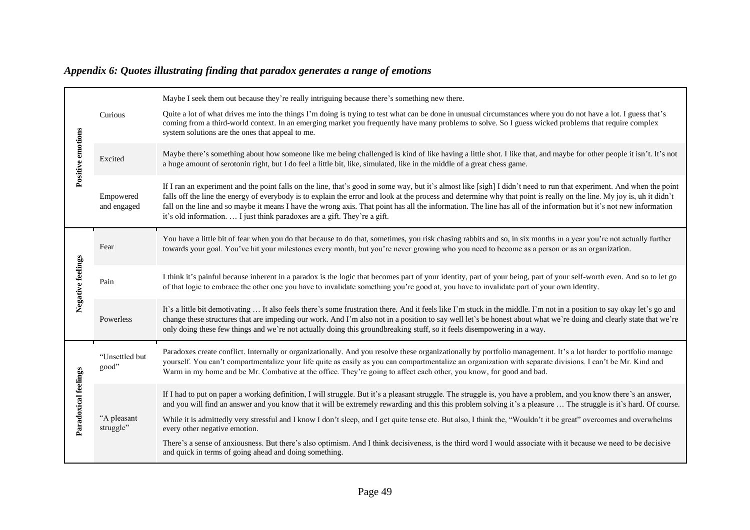|                      |                          | Maybe I seek them out because they're really intriguing because there's something new there.                                                                                                                                                                                                                                                                                                                                                                                                                                                                                                       |
|----------------------|--------------------------|----------------------------------------------------------------------------------------------------------------------------------------------------------------------------------------------------------------------------------------------------------------------------------------------------------------------------------------------------------------------------------------------------------------------------------------------------------------------------------------------------------------------------------------------------------------------------------------------------|
|                      | Curious                  | Quite a lot of what drives me into the things I'm doing is trying to test what can be done in unusual circumstances where you do not have a lot. I guess that's<br>coming from a third-world context. In an emerging market you frequently have many problems to solve. So I guess wicked problems that require complex<br>system solutions are the ones that appeal to me.                                                                                                                                                                                                                        |
| Positive emotions    | Excited                  | Maybe there's something about how someone like me being challenged is kind of like having a little shot. I like that, and maybe for other people it isn't. It's not<br>a huge amount of serotonin right, but I do feel a little bit, like, simulated, like in the middle of a great chess game.                                                                                                                                                                                                                                                                                                    |
|                      | Empowered<br>and engaged | If I ran an experiment and the point falls on the line, that's good in some way, but it's almost like [sigh] I didn't need to run that experiment. And when the point<br>falls off the line the energy of everybody is to explain the error and look at the process and determine why that point is really on the line. My joy is, uh it didn't<br>fall on the line and so maybe it means I have the wrong axis. That point has all the information. The line has all of the information but it's not new information<br>it's old information.  I just think paradoxes are a gift. They're a gift. |
| Negative feelings    | Fear                     | You have a little bit of fear when you do that because to do that, sometimes, you risk chasing rabbits and so, in six months in a year you're not actually further<br>towards your goal. You've hit your milestones every month, but you're never growing who you need to become as a person or as an organization.                                                                                                                                                                                                                                                                                |
|                      | Pain                     | I think it's painful because inherent in a paradox is the logic that becomes part of your identity, part of your being, part of your self-worth even. And so to let go<br>of that logic to embrace the other one you have to invalidate something you're good at, you have to invalidate part of your own identity.                                                                                                                                                                                                                                                                                |
|                      | Powerless                | It's a little bit demotivating  It also feels there's some frustration there. And it feels like I'm stuck in the middle. I'm not in a position to say okay let's go and<br>change these structures that are impeding our work. And I'm also not in a position to say well let's be honest about what we're doing and clearly state that we're<br>only doing these few things and we're not actually doing this groundbreaking stuff, so it feels disempowering in a way.                                                                                                                           |
| Paradoxical feelings | "Unsettled but<br>good"  | Paradoxes create conflict. Internally or organizationally. And you resolve these organizationally by portfolio management. It's a lot harder to portfolio manage<br>yourself. You can't compartmentalize your life quite as easily as you can compartmentalize an organization with separate divisions. I can't be Mr. Kind and<br>Warm in my home and be Mr. Combative at the office. They're going to affect each other, you know, for good and bad.                                                                                                                                             |
|                      | "A pleasant<br>struggle" | If I had to put on paper a working definition, I will struggle. But it's a pleasant struggle. The struggle is, you have a problem, and you know there's an answer,<br>and you will find an answer and you know that it will be extremely rewarding and this this problem solving it's a pleasure  The struggle is it's hard. Of course.<br>While it is admittedly very stressful and I know I don't sleep, and I get quite tense etc. But also, I think the, "Wouldn't it be great" overcomes and overwhelms<br>every other negative emotion.                                                      |
|                      |                          | There's a sense of anxiousness. But there's also optimism. And I think decisiveness, is the third word I would associate with it because we need to be decisive<br>and quick in terms of going ahead and doing something.                                                                                                                                                                                                                                                                                                                                                                          |

## *Appendix 6: Quotes illustrating finding that paradox generates a range of emotions*